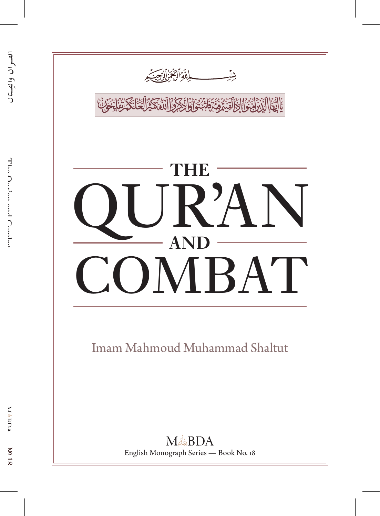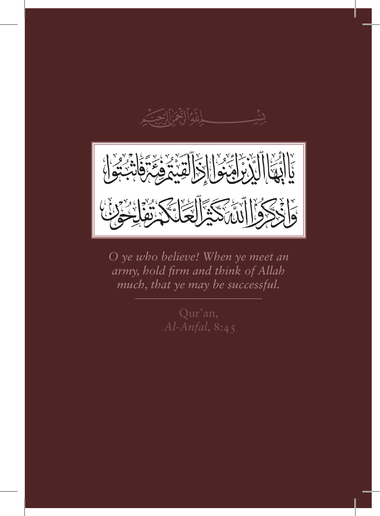

*O ye who believe! When ye meet an army, hold firm and think of Allah much, that ye may be successful.*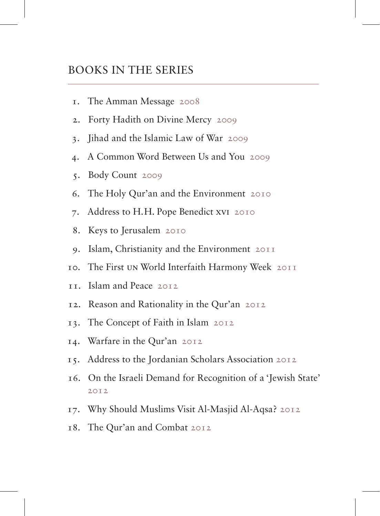#### Books in the Series

- 1. The Amman Message 2008
- 2. Forty Hadith on Divine Mercy 2009
- 3. Jihad and the Islamic Law of War 2009
- 4. A Common Word Between Us and You 2009
- 5. Body Count 2009
- 6. The Holy Qur'an and the Environment 2010
- 7. Address to H. H. Pope Benedict XVI 2010
- 8. Keys to Jerusalem 2010
- 9. Islam, Christianity and the Environment 2011
- 10. The First UN World Interfaith Harmony Week 2011
- 11. Islam and Peace 2012
- 12. Reason and Rationality in the Qur'an 2012
- 13. The Concept of Faith in Islam 2012
- 14. Warfare in the Qur'an 2012
- 15. Address to the Jordanian Scholars Association 2012
- 16. On the Israeli Demand for Recognition of a 'Jewish State'  $2012$
- 17. Why Should Muslims Visit Al-Masjid Al-Aqsa? 2012
- 18. The Qur'an and Combat 2012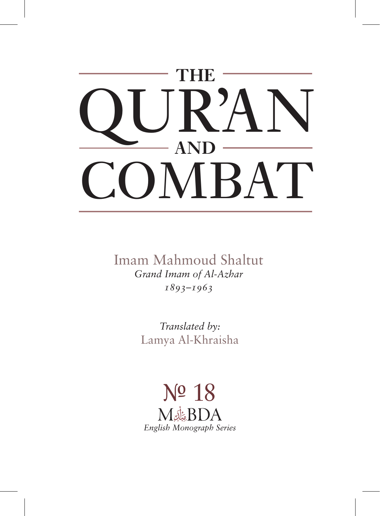

Imam Mahmoud Shaltut *Grand Imam of Al-Azhar 1893–1963*

> *Translated by:* Lamya Al-Khraisha

*English Monograph Series* N<sup>o</sup> 18<br>M&BDA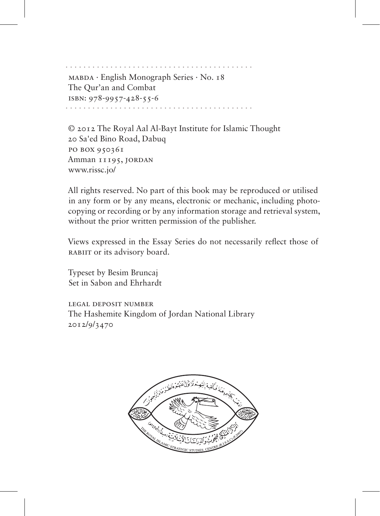· · · · · · · · · · · · · · · · · · · · · · · · · · · · · · · · · · · · · · · · · · MABDA · English Monograph Series · No. 18 The Qur'an and Combat ISBN: 978-9957-428-55-6 · · · · · · · · · · · · · · · · · · · · · · · · · · · · · · · · · · · · · · · · · ·

© 2012 The Royal Aal Al-Bayt Institute for Islamic Thought 20 Sa'ed Bino Road, Dabuq PO BOX 950361 Amman 11195, JORDAN www.rissc.jo/

All rights reserved. No part of this book may be reproduced or utilised in any form or by any means, electronic or mechanic, including photocopying or recording or by any information storage and retrieval system, without the prior written permission of the publisher.

Views expressed in the Essay Series do not necessarily reflect those of RABIIT or its advisory board.

Typeset by Besim Bruncaj Set in Sabon and Ehrhardt

LEGAL DEPOSIT NUMBER The Hashemite Kingdom of Jordan National Library 2012/9/3470

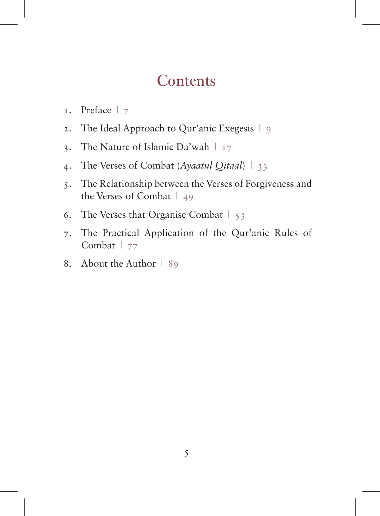#### **Contents**

- 1. Preface | 7
- 2. The Ideal Approach to Qur'anic Exegesis | 9
- 3. The Nature of Islamic Da'wah | 17
- 4. The Verses of Combat (*Ayaatul Qitaal*) | 33
- 5. The Relationship between the Verses of Forgiveness and the Verses of Combat | 49
- 6. The Verses that Organise Combat | 53
- 7. The Practical Application of the Qur'anic Rules of Combat | 77
- 8. About the Author | 89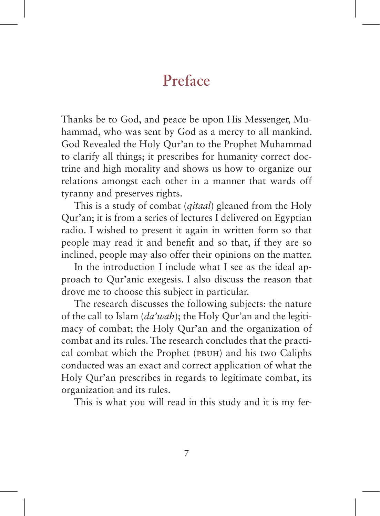## Preface

Thanks be to God, and peace be upon His Messenger, Muhammad, who was sent by God as a mercy to all mankind. God Revealed the Holy Qur'an to the Prophet Muhammad to clarify all things; it prescribes for humanity correct doctrine and high morality and shows us how to organize our relations amongst each other in a manner that wards off tyranny and preserves rights.

This is a study of combat (*qitaal*) gleaned from the Holy Qur'an; it is from a series of lectures I delivered on Egyptian radio. I wished to present it again in written form so that people may read it and benefit and so that, if they are so inclined, people may also offer their opinions on the matter.

In the introduction I include what I see as the ideal approach to Qur'anic exegesis. I also discuss the reason that drove me to choose this subject in particular.

The research discusses the following subjects: the nature of the call to Islam (*da'wah*); the Holy Qur'an and the legitimacy of combat; the Holy Qur'an and the organization of combat and its rules. The research concludes that the practical combat which the Prophet (pbuh) and his two Caliphs conducted was an exact and correct application of what the Holy Qur'an prescribes in regards to legitimate combat, its organization and its rules.

This is what you will read in this study and it is my fer-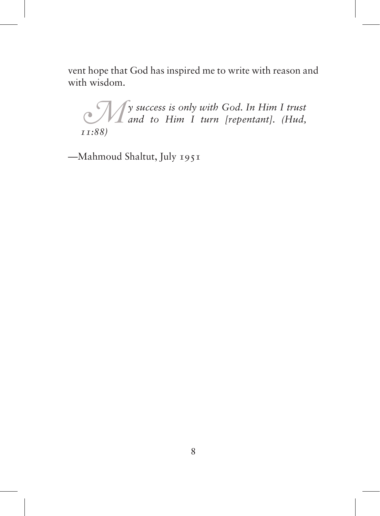vent hope that God has inspired me to write with reason and with wisdom.

*My success is only with God. In Him I trust and to Him I turn [repentant]. (Hud, 11:88)*

—Mahmoud Shaltut, July 1951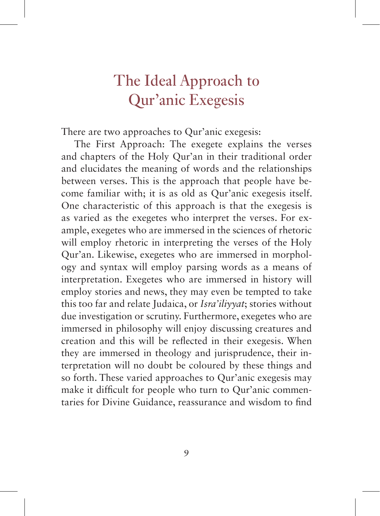# The Ideal Approach to Qur'anic Exegesis

There are two approaches to Qur'anic exegesis:

The First Approach: The exegete explains the verses and chapters of the Holy Qur'an in their traditional order and elucidates the meaning of words and the relationships between verses. This is the approach that people have become familiar with; it is as old as Qur'anic exegesis itself. One characteristic of this approach is that the exegesis is as varied as the exegetes who interpret the verses. For example, exegetes who are immersed in the sciences of rhetoric will employ rhetoric in interpreting the verses of the Holy Qur'an. Likewise, exegetes who are immersed in morphology and syntax will employ parsing words as a means of interpretation. Exegetes who are immersed in history will employ stories and news, they may even be tempted to take this too far and relate Judaica, or *Isra'iliyyat*; stories without due investigation or scrutiny. Furthermore, exegetes who are immersed in philosophy will enjoy discussing creatures and creation and this will be reflected in their exegesis. When they are immersed in theology and jurisprudence, their interpretation will no doubt be coloured by these things and so forth. These varied approaches to Qur'anic exegesis may make it difficult for people who turn to Qur'anic commentaries for Divine Guidance, reassurance and wisdom to find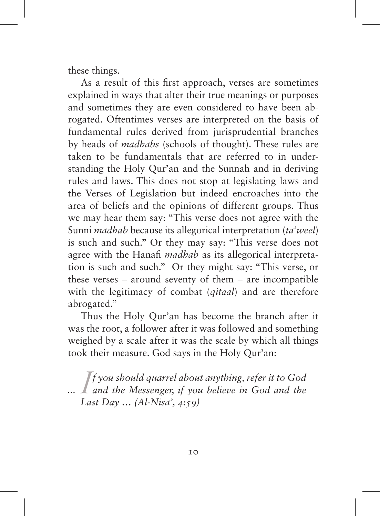these things.

As a result of this first approach, verses are sometimes explained in ways that alter their true meanings or purposes and sometimes they are even considered to have been abrogated. Oftentimes verses are interpreted on the basis of fundamental rules derived from jurisprudential branches by heads of *madhabs* (schools of thought). These rules are taken to be fundamentals that are referred to in understanding the Holy Qur'an and the Sunnah and in deriving rules and laws. This does not stop at legislating laws and the Verses of Legislation but indeed encroaches into the area of beliefs and the opinions of different groups. Thus we may hear them say: "This verse does not agree with the Sunni *madhab* because its allegorical interpretation (*ta'weel*) is such and such." Or they may say: "This verse does not agree with the Hanafi *madhab* as its allegorical interpretation is such and such." Or they might say: "This verse, or these verses – around seventy of them – are incompatible with the legitimacy of combat (*qitaal*) and are therefore abrogated."

Thus the Holy Qur'an has become the branch after it was the root, a follower after it was followed and something weighed by a scale after it was the scale by which all things took their measure. God says in the Holy Qur'an:

*I* f you should quarrel about anything, refer it to God<br>and the Messenger, if you believe in God and the<br>Last Day (Al-Nisa' 4:50) *f you should quarrel about anything, refer it to God Last Day … (Al-Nisa', 4:59)*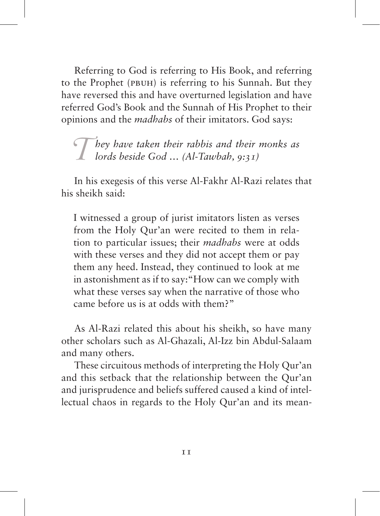Referring to God is referring to His Book, and referring to the Prophet (pbuh) is referring to his Sunnah. But they have reversed this and have overturned legislation and have referred God's Book and the Sunnah of His Prophet to their opinions and the *madhabs* of their imitators. God says:

*They have taken their rabbis and their monks as lords beside God … (Al-Tawbah, 9:31)*

In his exegesis of this verse Al-Fakhr Al-Razi relates that his sheikh said:

I witnessed a group of jurist imitators listen as verses from the Holy Qur'an were recited to them in relation to particular issues; their *madhabs* were at odds with these verses and they did not accept them or pay them any heed. Instead, they continued to look at me in astonishment as if to say:"How can we comply with what these verses say when the narrative of those who came before us is at odds with them?"

As Al-Razi related this about his sheikh, so have many other scholars such as Al-Ghazali, Al-Izz bin Abdul-Salaam and many others.

These circuitous methods of interpreting the Holy Qur'an and this setback that the relationship between the Qur'an and jurisprudence and beliefs suffered caused a kind of intellectual chaos in regards to the Holy Qur'an and its mean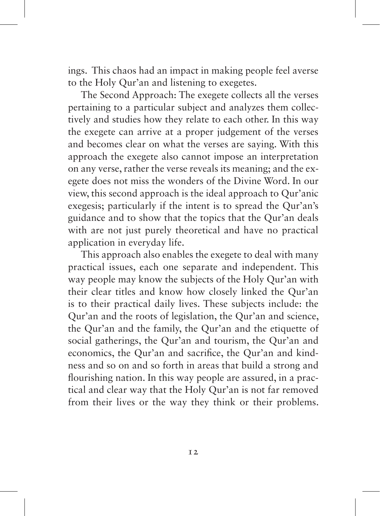ings. This chaos had an impact in making people feel averse to the Holy Qur'an and listening to exegetes.

The Second Approach: The exegete collects all the verses pertaining to a particular subject and analyzes them collectively and studies how they relate to each other. In this way the exegete can arrive at a proper judgement of the verses and becomes clear on what the verses are saying. With this approach the exegete also cannot impose an interpretation on any verse, rather the verse reveals its meaning; and the exegete does not miss the wonders of the Divine Word. In our view, this second approach is the ideal approach to Qur'anic exegesis; particularly if the intent is to spread the Qur'an's guidance and to show that the topics that the Qur'an deals with are not just purely theoretical and have no practical application in everyday life.

This approach also enables the exegete to deal with many practical issues, each one separate and independent. This way people may know the subjects of the Holy Qur'an with their clear titles and know how closely linked the Qur'an is to their practical daily lives. These subjects include: the Qur'an and the roots of legislation, the Qur'an and science, the Qur'an and the family, the Qur'an and the etiquette of social gatherings, the Qur'an and tourism, the Qur'an and economics, the Qur'an and sacrifice, the Qur'an and kindness and so on and so forth in areas that build a strong and flourishing nation. In this way people are assured, in a practical and clear way that the Holy Qur'an is not far removed from their lives or the way they think or their problems.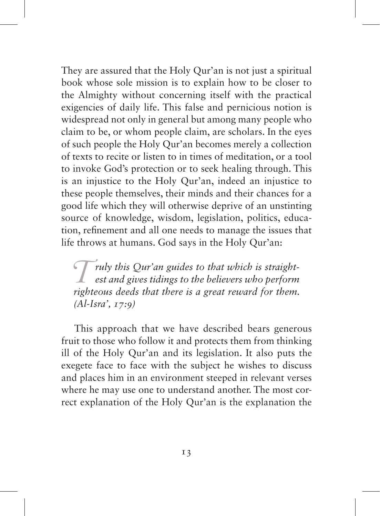They are assured that the Holy Qur'an is not just a spiritual book whose sole mission is to explain how to be closer to the Almighty without concerning itself with the practical exigencies of daily life. This false and pernicious notion is widespread not only in general but among many people who claim to be, or whom people claim, are scholars. In the eyes of such people the Holy Qur'an becomes merely a collection of texts to recite or listen to in times of meditation, or a tool to invoke God's protection or to seek healing through. This is an injustice to the Holy Qur'an, indeed an injustice to these people themselves, their minds and their chances for a good life which they will otherwise deprive of an unstinting source of knowledge, wisdom, legislation, politics, education, refinement and all one needs to manage the issues that life throws at humans. God says in the Holy Qur'an:

*Truly this Qur'an guides to that which is straightest and gives tidings to the believers who perform righteous deeds that there is a great reward for them. (Al-Isra', 17:9)*

This approach that we have described bears generous fruit to those who follow it and protects them from thinking ill of the Holy Qur'an and its legislation. It also puts the exegete face to face with the subject he wishes to discuss and places him in an environment steeped in relevant verses where he may use one to understand another. The most correct explanation of the Holy Qur'an is the explanation the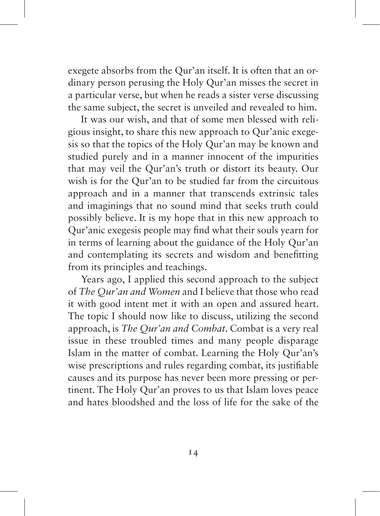exegete absorbs from the Qur'an itself. It is often that an ordinary person perusing the Holy Qur'an misses the secret in a particular verse, but when he reads a sister verse discussing the same subject, the secret is unveiled and revealed to him.

It was our wish, and that of some men blessed with religious insight, to share this new approach to Qur'anic exegesis so that the topics of the Holy Qur'an may be known and studied purely and in a manner innocent of the impurities that may veil the Qur'an's truth or distort its beauty. Our wish is for the Qur'an to be studied far from the circuitous approach and in a manner that transcends extrinsic tales and imaginings that no sound mind that seeks truth could possibly believe. It is my hope that in this new approach to Qur'anic exegesis people may find what their souls yearn for in terms of learning about the guidance of the Holy Qur'an and contemplating its secrets and wisdom and benefitting from its principles and teachings.

Years ago, I applied this second approach to the subject of *The Qur'an and Women* and I believe that those who read it with good intent met it with an open and assured heart. The topic I should now like to discuss, utilizing the second approach, is *The Qur'an and Combat*. Combat is a very real issue in these troubled times and many people disparage Islam in the matter of combat. Learning the Holy Qur'an's wise prescriptions and rules regarding combat, its justifiable causes and its purpose has never been more pressing or pertinent. The Holy Qur'an proves to us that Islam loves peace and hates bloodshed and the loss of life for the sake of the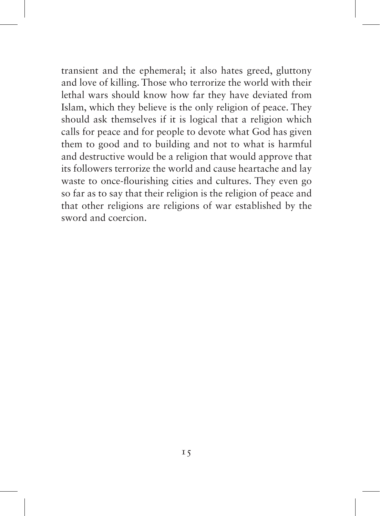transient and the ephemeral; it also hates greed, gluttony and love of killing. Those who terrorize the world with their lethal wars should know how far they have deviated from Islam, which they believe is the only religion of peace. They should ask themselves if it is logical that a religion which calls for peace and for people to devote what God has given them to good and to building and not to what is harmful and destructive would be a religion that would approve that its followers terrorize the world and cause heartache and lay waste to once-flourishing cities and cultures. They even go so far as to say that their religion is the religion of peace and that other religions are religions of war established by the sword and coercion.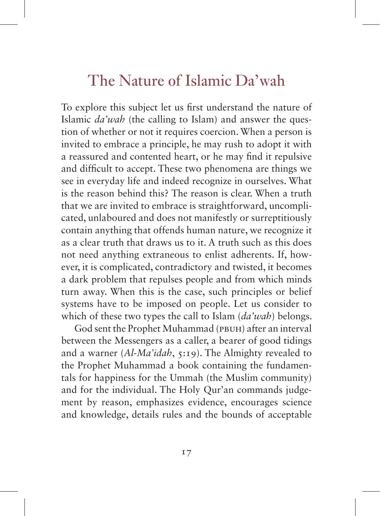### The Nature of Islamic Da'wah

To explore this subject let us first understand the nature of Islamic *da'wah* (the calling to Islam) and answer the question of whether or not it requires coercion. When a person is invited to embrace a principle, he may rush to adopt it with a reassured and contented heart, or he may find it repulsive and difficult to accept. These two phenomena are things we see in everyday life and indeed recognize in ourselves. What is the reason behind this? The reason is clear. When a truth that we are invited to embrace is straightforward, uncomplicated, unlaboured and does not manifestly or surreptitiously contain anything that offends human nature, we recognize it as a clear truth that draws us to it. A truth such as this does not need anything extraneous to enlist adherents. If, however, it is complicated, contradictory and twisted, it becomes a dark problem that repulses people and from which minds turn away. When this is the case, such principles or belief systems have to be imposed on people. Let us consider to which of these two types the call to Islam (*da'wah*) belongs.

God sent the Prophet Muhammad (PBUH) after an interval between the Messengers as a caller, a bearer of good tidings and a warner (Al-Ma'idah, 5:19). The Almighty revealed to the Prophet Muhammad a book containing the fundamentals for happiness for the Ummah (the Muslim community) and for the individual. The Holy Qur'an commands judgement by reason, emphasizes evidence, encourages science and knowledge, details rules and the bounds of acceptable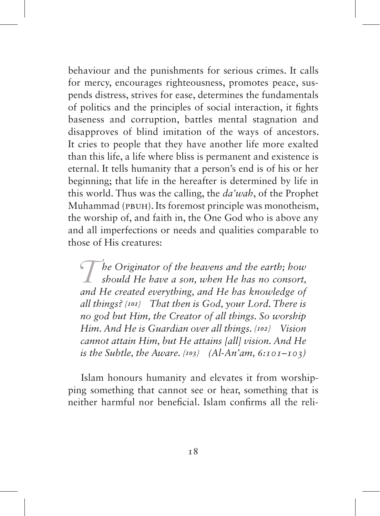behaviour and the punishments for serious crimes. It calls for mercy, encourages righteousness, promotes peace, suspends distress, strives for ease, determines the fundamentals of politics and the principles of social interaction, it fights baseness and corruption, battles mental stagnation and disapproves of blind imitation of the ways of ancestors. It cries to people that they have another life more exalted than this life, a life where bliss is permanent and existence is eternal. It tells humanity that a person's end is of his or her beginning; that life in the hereafter is determined by life in this world. Thus was the calling, the *da'wah*, of the Prophet Muhammad (pbuh). Its foremost principle was monotheism, the worship of, and faith in, the One God who is above any and all imperfections or needs and qualities comparable to those of His creatures:

*The Originator of the heavens and the earth; how should He have a son, when He has no consort, and He created everything and He has knowledge of and He created everything, and He has knowledge of all things? {101} That then is God, your Lord. There is no god but Him, the Creator of all things. So worship Him. And He is Guardian over all things. {102} Vision cannot attain Him, but He attains [all] vision. And He is the Subtle, the Aware. {103} (Al-An'am, 6:101–103)*

Islam honours humanity and elevates it from worshipping something that cannot see or hear, something that is neither harmful nor beneficial. Islam confirms all the reli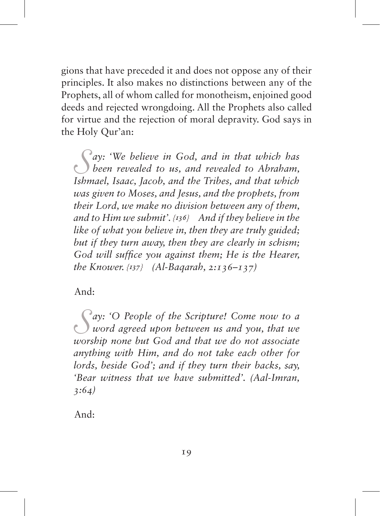gions that have preceded it and does not oppose any of their principles. It also makes no distinctions between any of the Prophets, all of whom called for monotheism, enjoined good deeds and rejected wrongdoing. All the Prophets also called for virtue and the rejection of moral depravity. God says in the Holy Qur'an:

*S ay: 'We believe in God, and in that which has been revealed to us, and revealed to Abraham, Ishmael, Isaac, Jacob, and the Tribes, and that which was given to Moses, and Jesus, and the prophets, from their Lord, we make no division between any of them, and to Him we submit'. {136} And if they believe in the like of what you believe in, then they are truly guided; but if they turn away, then they are clearly in schism; God will suffice you against them; He is the Hearer, the Knower. {137} (Al-Baqarah, 2:136–137)*

And:

*S ay: 'O People of the Scripture! Come now to a word agreed upon between us and you, that we worship none but God and that we do not associate anything with Him, and do not take each other for lords, beside God'; and if they turn their backs, say, 'Bear witness that we have submitted'. (Aal-Imran, 3:64)*

And: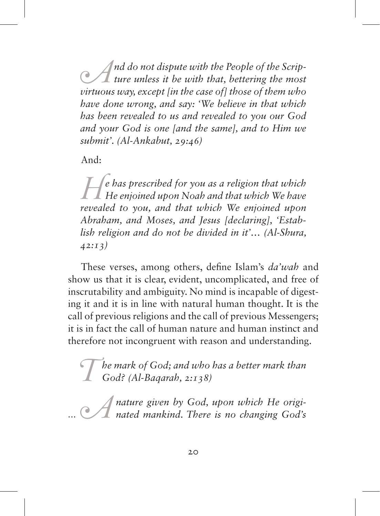*A*<sup>*nd do not dispute with the People of the Scrip-<br>
<i>ture unless it be with that, bettering the most*<br> *virtuous way except lin the case of l those of them who*</sup> *virtuous way, except [in the case of] those of them who have done wrong, and say: 'We believe in that which has been revealed to us and revealed to you our God and your God is one [and the same], and to Him we submit'. (Al-Ankabut, 29:46)*

And:

*H*e has prescribed for you as a religion that which He enjoined upon Noah and that which We have revealed to you and that which We enjoined upon *revealed to you, and that which We enjoined upon Abraham, and Moses, and Jesus [declaring], 'Establish religion and do not be divided in it'… (Al-Shura, 42:13)*

These verses, among others, define Islam's *da'wah* and show us that it is clear, evident, uncomplicated, and free of inscrutability and ambiguity. No mind is incapable of digesting it and it is in line with natural human thought. It is the call of previous religions and the call of previous Messengers; it is in fact the call of human nature and human instinct and therefore not incongruent with reason and understanding.

*The mark of God; and who has a better mark than God? (Al-Baqarah, 2:138)*

*A nature given by God, upon which He origi-nated mankind. There is no changing God's*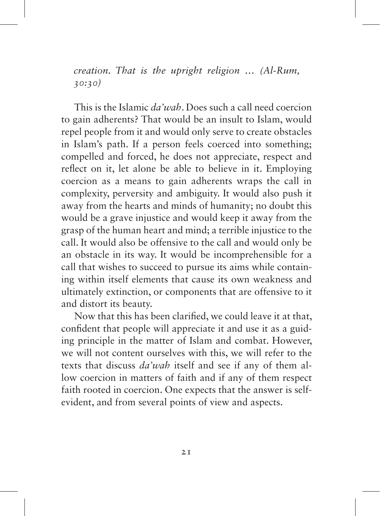*creation. That is the upright religion … (Al-Rum, 30:30)*

This is the Islamic *da'wah*. Does such a call need coercion to gain adherents? That would be an insult to Islam, would repel people from it and would only serve to create obstacles in Islam's path. If a person feels coerced into something; compelled and forced, he does not appreciate, respect and reflect on it, let alone be able to believe in it. Employing coercion as a means to gain adherents wraps the call in complexity, perversity and ambiguity. It would also push it away from the hearts and minds of humanity; no doubt this would be a grave injustice and would keep it away from the grasp of the human heart and mind; a terrible injustice to the call. It would also be offensive to the call and would only be an obstacle in its way. It would be incomprehensible for a call that wishes to succeed to pursue its aims while containing within itself elements that cause its own weakness and ultimately extinction, or components that are offensive to it and distort its beauty.

Now that this has been clarified, we could leave it at that, confident that people will appreciate it and use it as a guiding principle in the matter of Islam and combat. However, we will not content ourselves with this, we will refer to the texts that discuss *da'wah* itself and see if any of them allow coercion in matters of faith and if any of them respect faith rooted in coercion. One expects that the answer is selfevident, and from several points of view and aspects.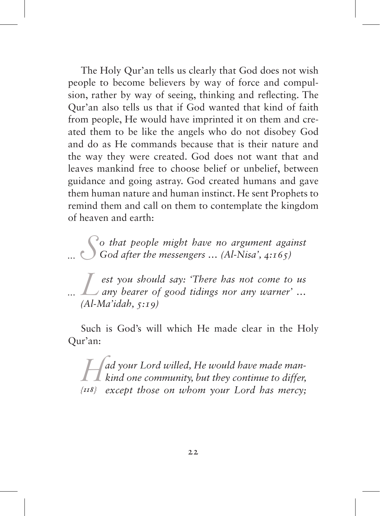The Holy Qur'an tells us clearly that God does not wish people to become believers by way of force and compulsion, rather by way of seeing, thinking and reflecting. The Qur'an also tells us that if God wanted that kind of faith from people, He would have imprinted it on them and created them to be like the angels who do not disobey God and do as He commands because that is their nature and the way they were created. God does not want that and leaves mankind free to choose belief or unbelief, between guidance and going astray. God created humans and gave them human nature and human instinct. He sent Prophets to remind them and call on them to contemplate the kingdom of heaven and earth:

*S o that people might have no argument against God after the messengers … (Al-Nisa', 4:165)*

*L***est you should say: 'There has not come to us** any bearer of good tidings nor any warner' ... *(Al-Ma'idah, 5:19)*

Such is God's will which He made clear in the Holy Qur'an:

*Had your Lord willed, He would have made man-*<br> *kind one community, but they continue to differ,*<br> *(IR)* except those on whom your Lord has mercy: *{118} except those on whom your Lord has mercy;*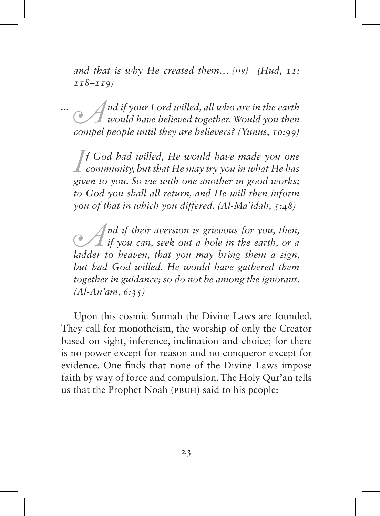*and that is why He created them… {119} (Hud, 11: 118–119)*

*A*<sup>*nd if your Lord willed, all who are in the earth would have believed together. Would you then comple people until they are believers? (Yunus, 10:00)*</sup> *compel people until they are believers? (Yunus, 10:99)*

*I*<sup>f</sup> God had willed, He would have made you one<br> *community, but that He may try you in what He has*<br> *given to you*. So *vie with one another in good works: community, but that He may try you in what He has given to you. So vie with one another in good works; to God you shall all return, and He will then inform you of that in which you differed. (Al-Ma'idah, 5:48)*

*A*<sup>*nd if their aversion is grievous for you, then, if you can, seek out a hole in the earth, or a ladder to heaven that you may bring them a sign*</sup> *ladder to heaven, that you may bring them a sign, but had God willed, He would have gathered them together in guidance; so do not be among the ignorant. (Al-An'am, 6:35)*

Upon this cosmic Sunnah the Divine Laws are founded. They call for monotheism, the worship of only the Creator based on sight, inference, inclination and choice; for there is no power except for reason and no conqueror except for evidence. One finds that none of the Divine Laws impose faith by way of force and compulsion. The Holy Qur'an tells us that the Prophet Noah (pbuh) said to his people: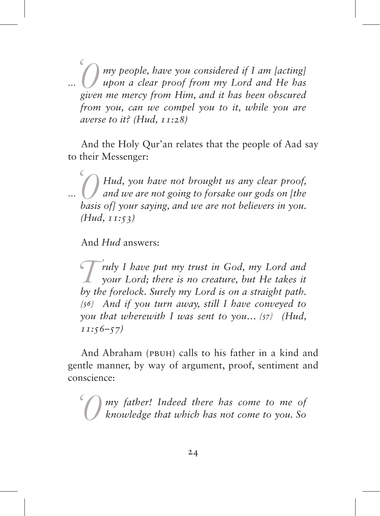*'O my people, have you considered if I am [acting] upon a clear proof from my Lord and He has given me mercy from Him, and it has been obscured from you, can we compel you to it, while you are averse to it? (Hud, 11:28)*

And the Holy Qur'an relates that the people of Aad say to their Messenger:

*'O Hud, you have not brought us any clear proof, and we are not going to forsake our gods on [the basis of] your saying, and we are not believers in you. (Hud, 11:53)*

And *Hud* answers:

*Truly I have put my trust in God, my Lord and your Lord; there is no creature, but He takes it by the forelock. Surely my Lord is on a straight path. {56} And if you turn away, still I have conveyed to you that wherewith I was sent to you… {57} (Hud, 11:56–57)*

And Abraham (pbuh) calls to his father in a kind and gentle manner, by way of argument, proof, sentiment and conscience:

*'O my father! Indeed there has come to me of knowledge that which has not come to you. So*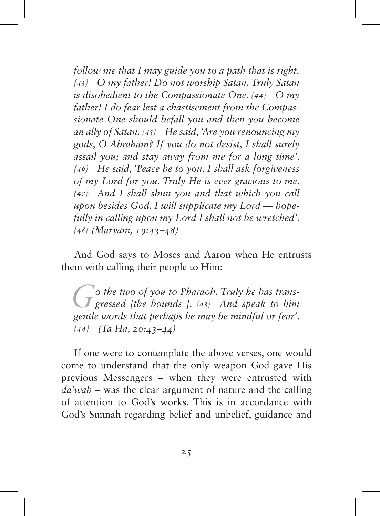*follow me that I may guide you to a path that is right. {43} O my father! Do not worship Satan. Truly Satan is disobedient to the Compassionate One. {44} O my father! I do fear lest a chastisement from the Compassionate One should befall you and then you become an ally of Satan. {45} He said, 'Are you renouncing my gods, O Abraham? If you do not desist, I shall surely assail you; and stay away from me for a long time'. {46} He said, 'Peace be to you. I shall ask forgiveness of my Lord for you. Truly He is ever gracious to me. {47} And I shall shun you and that which you call upon besides God. I will supplicate my Lord — hopefully in calling upon my Lord I shall not be wretched'. {48} (Maryam, 19:43–48)*

And God says to Moses and Aaron when He entrusts them with calling their people to Him:

*Go the two of you to Pharaoh. Truly he has transgressed [the bounds ]. {43} And speak to him gentle words that perhaps he may be mindful or fear'. {44} (Ta Ha, 20:43–44)*

If one were to contemplate the above verses, one would come to understand that the only weapon God gave His previous Messengers – when they were entrusted with *da'wah* – was the clear argument of nature and the calling of attention to God's works. This is in accordance with God's Sunnah regarding belief and unbelief, guidance and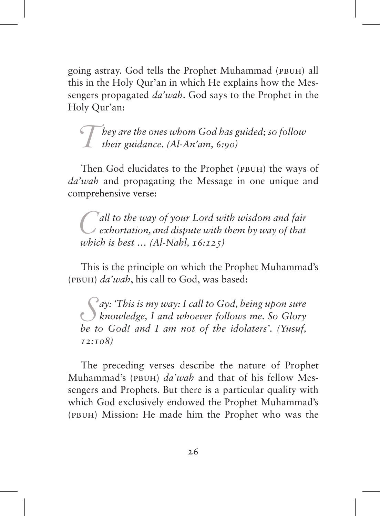going astray. God tells the Prophet Muhammad (pbuh) all this in the Holy Qur'an in which He explains how the Messengers propagated *da'wah*. God says to the Prophet in the Holy Qur'an:

*They are the ones whom God has guided; so follow their guidance. (Al-An'am, 6:90)*

Then God elucidates to the Prophet (PBUH) the ways of *da'wah* and propagating the Message in one unique and comprehensive verse:

*C***all to the way of your Lord with wisdom and fair exhortation, and dispute with them by way of that which is hest**  $(ALNahl 16:12.5)$ *which is best … (Al-Nahl, 16:125)*

This is the principle on which the Prophet Muhammad's (pbuh) *da'wah*, his call to God, was based:

*S ay: 'This is my way: I call to God, being upon sure knowledge, I and whoever follows me. So Glory be to God! and I am not of the idolaters'. (Yusuf, 12:108)*

The preceding verses describe the nature of Prophet Muhammad's (pbuh) *da'wah* and that of his fellow Messengers and Prophets. But there is a particular quality with which God exclusively endowed the Prophet Muhammad's (pbuh) Mission: He made him the Prophet who was the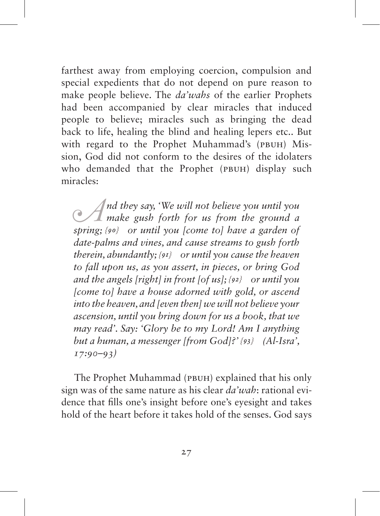farthest away from employing coercion, compulsion and special expedients that do not depend on pure reason to make people believe. The *da'wahs* of the earlier Prophets had been accompanied by clear miracles that induced people to believe; miracles such as bringing the dead back to life, healing the blind and healing lepers etc.. But with regard to the Prophet Muhammad's (PBUH) Mission, God did not conform to the desires of the idolaters who demanded that the Prophet (PBUH) display such miracles:

*A*<sup>*nd they say, 'We will not believe you until you make gush forth for us from the ground a* string the *s* or *until you come tol have a garden of*</sup> *spring; {90} or until you [come to] have a garden of date-palms and vines, and cause streams to gush forth therein, abundantly; {91} or until you cause the heaven to fall upon us, as you assert, in pieces, or bring God and the angels [right] in front [of us]; {92} or until you [come to] have a house adorned with gold, or ascend into the heaven, and [even then] we will not believe your ascension, until you bring down for us a book, that we may read'. Say: 'Glory be to my Lord! Am I anything but a human, a messenger [from God]?' {93} (Al-Isra', 17:90–93)*

The Prophet Muhammad (PBUH) explained that his only sign was of the same nature as his clear *da'wah*: rational evidence that fills one's insight before one's eyesight and takes hold of the heart before it takes hold of the senses. God says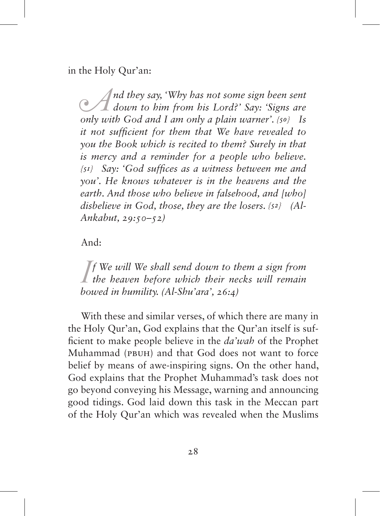in the Holy Qur'an:

*A*<sup>*nd they say, 'Why has not some sign been sent*  $\mathbb{C}$ *down to him from his Lord?' Say: 'Signs are only with God and Lam only a plain warner' (so)* Is</sup> *only with God and I am only a plain warner'. {50} Is it not sufficient for them that We have revealed to you the Book which is recited to them? Surely in that is mercy and a reminder for a people who believe. {51} Say: 'God suffices as a witness between me and you'. He knows whatever is in the heavens and the earth. And those who believe in falsehood, and [who] disbelieve in God, those, they are the losers. {52} (Al-Ankabut, 29:50–52)*

And:

*I* f We will We shall send down to them a sign from the heaven before which their necks will remain housed in humility (Al-Shu'ara'  $26.4$ ) *the heaven before which their necks will remain bowed in humility. (Al-Shu'ara', 26:4)*

With these and similar verses, of which there are many in the Holy Qur'an, God explains that the Qur'an itself is sufficient to make people believe in the *da'wah* of the Prophet Muhammad (pbuh) and that God does not want to force belief by means of awe-inspiring signs. On the other hand, God explains that the Prophet Muhammad's task does not go beyond conveying his Message, warning and announcing good tidings. God laid down this task in the Meccan part of the Holy Qur'an which was revealed when the Muslims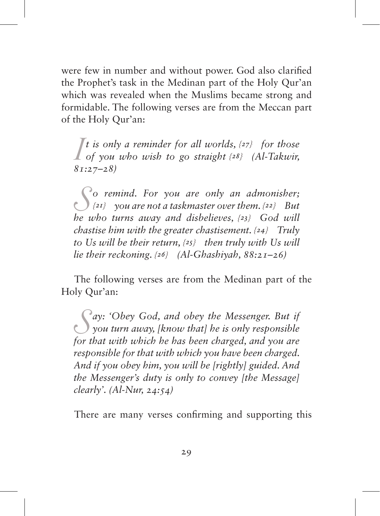were few in number and without power. God also clarified the Prophet's task in the Medinan part of the Holy Qur'an which was revealed when the Muslims became strong and formidable. The following verses are from the Meccan part of the Holy Qur'an:

*I t* is only a reminder for all worlds,  $\{27\}$  for those of you who wish to go straight  $\{28\}$  (Al-Takwir,  $\{87, 27-2\}$ ) *of you who wish to go straight {28} (Al-Takwir, 81:27–28)*

*S o remind. For you are only an admonisher; {21} you are not a taskmaster over them. {22} But he who turns away and disbelieves, {23} God will chastise him with the greater chastisement. {24} Truly to Us will be their return, {25} then truly with Us will lie their reckoning. {26} (Al-Ghashiyah, 88:21–26)*

The following verses are from the Medinan part of the Holy Qur'an:

*S ay: 'Obey God, and obey the Messenger. But if you turn away, [know that] he is only responsible for that with which he has been charged, and you are responsible for that with which you have been charged. And if you obey him, you will be [rightly] guided. And the Messenger's duty is only to convey [the Message] clearly'. (Al-Nur, 24:54)*

There are many verses confirming and supporting this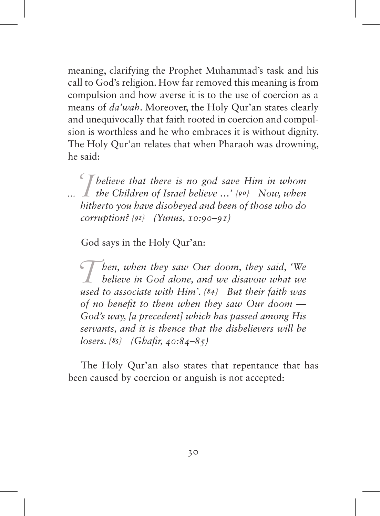meaning, clarifying the Prophet Muhammad's task and his call to God's religion. How far removed this meaning is from compulsion and how averse it is to the use of coercion as a means of *da'wah*. Moreover, the Holy Qur'an states clearly and unequivocally that faith rooted in coercion and compulsion is worthless and he who embraces it is without dignity. The Holy Qur'an relates that when Pharaoh was drowning, he said:

*'I believe that there is no god save Him in whom the Children of Israel believe …' {90} Now, when hitherto you have disobeyed and been of those who do corruption? {91} (Yunus, 10:90–91)*

God says in the Holy Qur'an:

*Then, when they saw Our doom, they said, 'We believe in God alone, and we disavow what we used to associate with Him'*  $(8a)$  *But their faith was used to associate with Him'. {84} But their faith was of no benefit to them when they saw Our doom — God's way, [a precedent] which has passed among His servants, and it is thence that the disbelievers will be losers. {85} (Ghafir, 40:84–85)*

The Holy Qur'an also states that repentance that has been caused by coercion or anguish is not accepted: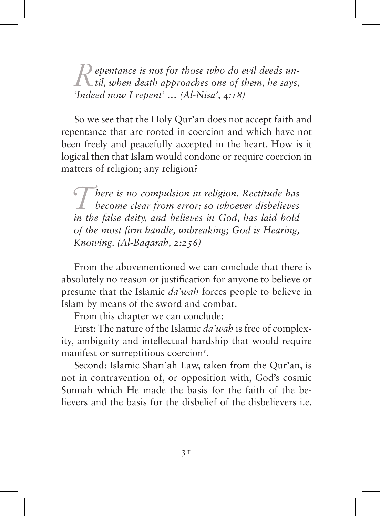*R* epentance is not for those who do evil deeds un-<br>*til, when death approaches one of them, he says,*<br>*Indeed now I repent*, (AL-Nisa', 4:18) *'Indeed now I repent' … (Al-Nisa', 4:18)*

So we see that the Holy Qur'an does not accept faith and repentance that are rooted in coercion and which have not been freely and peacefully accepted in the heart. How is it logical then that Islam would condone or require coercion in matters of religion; any religion?

*There is no compulsion in religion. Rectitude has**become clear from error; so whoever disbelieves* **in the false deity and helieves in God, has laid hold** *in the false deity, and believes in God, has laid hold of the most firm handle, unbreaking; God is Hearing, Knowing. (Al-Baqarah, 2:256)*

From the abovementioned we can conclude that there is absolutely no reason or justification for anyone to believe or presume that the Islamic *da'wah* forces people to believe in Islam by means of the sword and combat.

From this chapter we can conclude:

First: The nature of the Islamic *da'wah* is free of complexity, ambiguity and intellectual hardship that would require manifest or surreptitious coercion<sup>1</sup>.

Second: Islamic Shari'ah Law, taken from the Qur'an, is not in contravention of, or opposition with, God's cosmic Sunnah which He made the basis for the faith of the believers and the basis for the disbelief of the disbelievers i.e.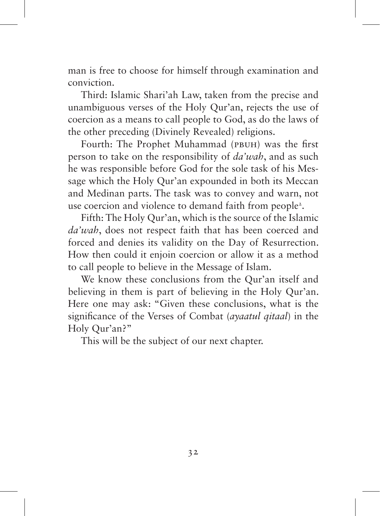man is free to choose for himself through examination and conviction.

Third: Islamic Shari'ah Law, taken from the precise and unambiguous verses of the Holy Qur'an, rejects the use of coercion as a means to call people to God, as do the laws of the other preceding (Divinely Revealed) religions.

Fourth: The Prophet Muhammad (pbuh) was the first person to take on the responsibility of *da'wah*, and as such he was responsible before God for the sole task of his Message which the Holy Qur'an expounded in both its Meccan and Medinan parts. The task was to convey and warn, not use coercion and violence to demand faith from people<sup>2</sup>.

Fifth: The Holy Qur'an, which is the source of the Islamic *da'wah*, does not respect faith that has been coerced and forced and denies its validity on the Day of Resurrection. How then could it enjoin coercion or allow it as a method to call people to believe in the Message of Islam.

We know these conclusions from the Qur'an itself and believing in them is part of believing in the Holy Qur'an. Here one may ask: "Given these conclusions, what is the significance of the Verses of Combat (*ayaatul qitaal*) in the Holy Qur'an?"

This will be the subject of our next chapter.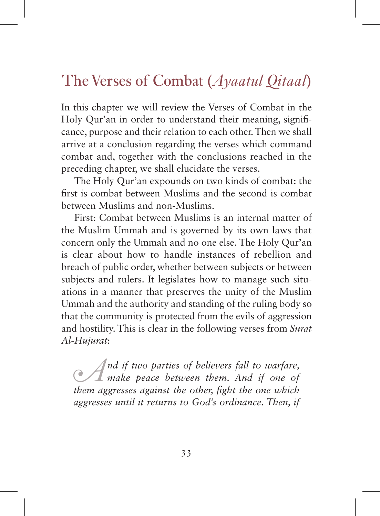# The Verses of Combat (*Ayaatul Qitaal*)

In this chapter we will review the Verses of Combat in the Holy Qur'an in order to understand their meaning, significance, purpose and their relation to each other. Then we shall arrive at a conclusion regarding the verses which command combat and, together with the conclusions reached in the preceding chapter, we shall elucidate the verses.

The Holy Qur'an expounds on two kinds of combat: the first is combat between Muslims and the second is combat between Muslims and non-Muslims.

First: Combat between Muslims is an internal matter of the Muslim Ummah and is governed by its own laws that concern only the Ummah and no one else. The Holy Qur'an is clear about how to handle instances of rebellion and breach of public order, whether between subjects or between subjects and rulers. It legislates how to manage such situations in a manner that preserves the unity of the Muslim Ummah and the authority and standing of the ruling body so that the community is protected from the evils of aggression and hostility. This is clear in the following verses from *Surat Al-Hujurat*:

*A*<sup>*nd if two parties of believers fall to warfare,*  $\mathcal{A}$  *make peace between them. And if one of them aggresses against the other fight the one which*</sup> *them aggresses against the other, fight the one which aggresses until it returns to God's ordinance. Then, if*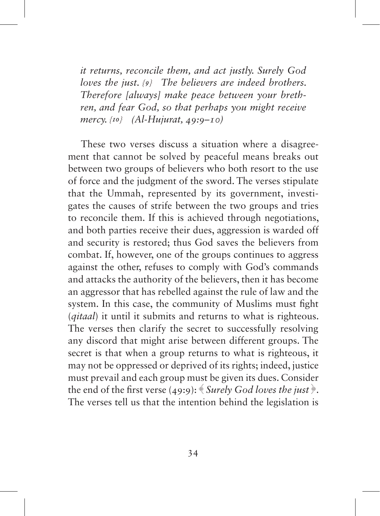*it returns, reconcile them, and act justly. Surely God loves the just. {9} The believers are indeed brothers. Therefore [always] make peace between your brethren, and fear God, so that perhaps you might receive mercy. {10} (Al-Hujurat, 49:9–10)*

These two verses discuss a situation where a disagreement that cannot be solved by peaceful means breaks out between two groups of believers who both resort to the use of force and the judgment of the sword. The verses stipulate that the Ummah, represented by its government, investigates the causes of strife between the two groups and tries to reconcile them. If this is achieved through negotiations, and both parties receive their dues, aggression is warded off and security is restored; thus God saves the believers from combat. If, however, one of the groups continues to aggress against the other, refuses to comply with God's commands and attacks the authority of the believers, then it has become an aggressor that has rebelled against the rule of law and the system. In this case, the community of Muslims must fight (*qitaal*) it until it submits and returns to what is righteous. The verses then clarify the secret to successfully resolving any discord that might arise between different groups. The secret is that when a group returns to what is righteous, it may not be oppressed or deprived of its rights; indeed, justice must prevail and each group must be given its dues. Consider the end of the first verse (49:9): ﴾ *Surely God loves the just* ﴿. The verses tell us that the intention behind the legislation is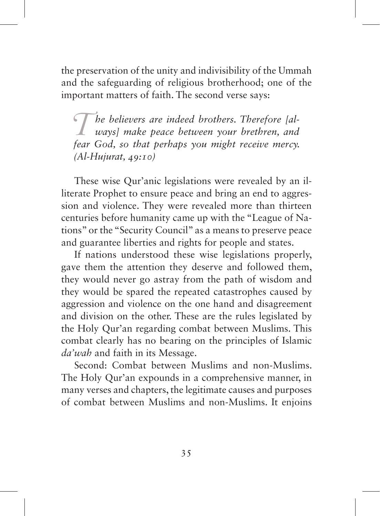the preservation of the unity and indivisibility of the Ummah and the safeguarding of religious brotherhood; one of the important matters of faith. The second verse says:

*The believers are indeed brothers. Therefore [always] make peace between your brethren, and fear God, so that perhaps you might receive mercy. (Al-Hujurat, 49:10)*

These wise Qur'anic legislations were revealed by an illiterate Prophet to ensure peace and bring an end to aggression and violence. They were revealed more than thirteen centuries before humanity came up with the "League of Nations" or the "Security Council" as a means to preserve peace and guarantee liberties and rights for people and states.

If nations understood these wise legislations properly, gave them the attention they deserve and followed them, they would never go astray from the path of wisdom and they would be spared the repeated catastrophes caused by aggression and violence on the one hand and disagreement and division on the other. These are the rules legislated by the Holy Qur'an regarding combat between Muslims. This combat clearly has no bearing on the principles of Islamic *da'wah* and faith in its Message.

Second: Combat between Muslims and non-Muslims. The Holy Qur'an expounds in a comprehensive manner, in many verses and chapters, the legitimate causes and purposes of combat between Muslims and non-Muslims. It enjoins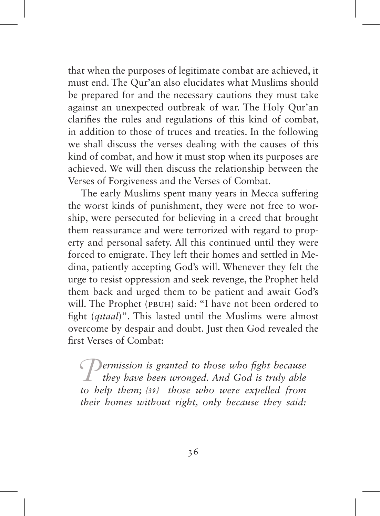that when the purposes of legitimate combat are achieved, it must end. The Qur'an also elucidates what Muslims should be prepared for and the necessary cautions they must take against an unexpected outbreak of war. The Holy Qur'an clarifies the rules and regulations of this kind of combat, in addition to those of truces and treaties. In the following we shall discuss the verses dealing with the causes of this kind of combat, and how it must stop when its purposes are achieved. We will then discuss the relationship between the Verses of Forgiveness and the Verses of Combat.

The early Muslims spent many years in Mecca suffering the worst kinds of punishment, they were not free to worship, were persecuted for believing in a creed that brought them reassurance and were terrorized with regard to property and personal safety. All this continued until they were forced to emigrate. They left their homes and settled in Medina, patiently accepting God's will. Whenever they felt the urge to resist oppression and seek revenge, the Prophet held them back and urged them to be patient and await God's will. The Prophet (PBUH) said: "I have not been ordered to fight (*qitaal*)". This lasted until the Muslims were almost overcome by despair and doubt. Just then God revealed the first Verses of Combat:

*Permission is granted to those who fight because they have been wronged. And God is truly able to help them; {39} those who were expelled from their homes without right, only because they said:*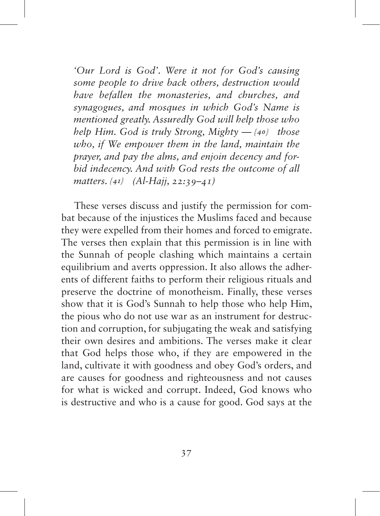*'Our Lord is God'. Were it not for God's causing some people to drive back others, destruction would have befallen the monasteries, and churches, and synagogues, and mosques in which God's Name is mentioned greatly. Assuredly God will help those who help Him. God is truly Strong, Mighty — {40} those who, if We empower them in the land, maintain the prayer, and pay the alms, and enjoin decency and forbid indecency. And with God rests the outcome of all matters. {41} (Al-Hajj, 22:39–41)*

These verses discuss and justify the permission for combat because of the injustices the Muslims faced and because they were expelled from their homes and forced to emigrate. The verses then explain that this permission is in line with the Sunnah of people clashing which maintains a certain equilibrium and averts oppression. It also allows the adherents of different faiths to perform their religious rituals and preserve the doctrine of monotheism. Finally, these verses show that it is God's Sunnah to help those who help Him, the pious who do not use war as an instrument for destruction and corruption, for subjugating the weak and satisfying their own desires and ambitions. The verses make it clear that God helps those who, if they are empowered in the land, cultivate it with goodness and obey God's orders, and are causes for goodness and righteousness and not causes for what is wicked and corrupt. Indeed, God knows who is destructive and who is a cause for good. God says at the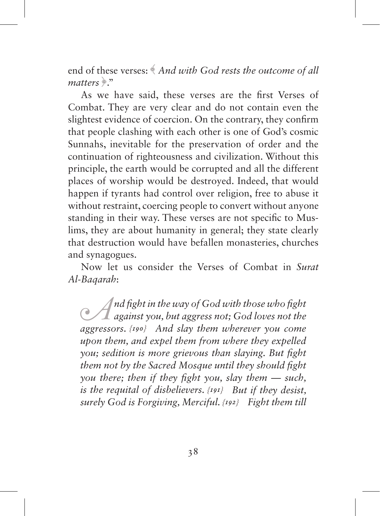end of these verses: ﴾ *And with God rests the outcome of all matters* ﴿."

As we have said, these verses are the first Verses of Combat. They are very clear and do not contain even the slightest evidence of coercion. On the contrary, they confirm that people clashing with each other is one of God's cosmic Sunnahs, inevitable for the preservation of order and the continuation of righteousness and civilization. Without this principle, the earth would be corrupted and all the different places of worship would be destroyed. Indeed, that would happen if tyrants had control over religion, free to abuse it without restraint, coercing people to convert without anyone standing in their way. These verses are not specific to Muslims, they are about humanity in general; they state clearly that destruction would have befallen monasteries, churches and synagogues.

Now let us consider the Verses of Combat in *Surat Al-Baqarah*:

*A*<sup>*nd fight in the way of God with those who fight*<br> *against you, but aggress not; God loves not the*<br> *aggressors* (too) And slov them wherever you come</sup> *aggressors. {190} And slay them wherever you come upon them, and expel them from where they expelled you; sedition is more grievous than slaying. But fight them not by the Sacred Mosque until they should fight you there; then if they fight you, slay them — such, is the requital of disbelievers. {191} But if they desist, surely God is Forgiving, Merciful. {192} Fight them till*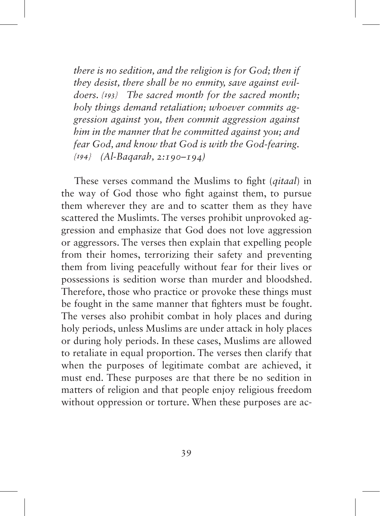*there is no sedition, and the religion is for God; then if they desist, there shall be no enmity, save against evildoers. {193} The sacred month for the sacred month; holy things demand retaliation; whoever commits aggression against you, then commit aggression against him in the manner that he committed against you; and fear God, and know that God is with the God-fearing. {194} (Al-Baqarah, 2:190–194)*

These verses command the Muslims to fight (*qitaal*) in the way of God those who fight against them, to pursue them wherever they are and to scatter them as they have scattered the Muslimts. The verses prohibit unprovoked aggression and emphasize that God does not love aggression or aggressors. The verses then explain that expelling people from their homes, terrorizing their safety and preventing them from living peacefully without fear for their lives or possessions is sedition worse than murder and bloodshed. Therefore, those who practice or provoke these things must be fought in the same manner that fighters must be fought. The verses also prohibit combat in holy places and during holy periods, unless Muslims are under attack in holy places or during holy periods. In these cases, Muslims are allowed to retaliate in equal proportion. The verses then clarify that when the purposes of legitimate combat are achieved, it must end. These purposes are that there be no sedition in matters of religion and that people enjoy religious freedom without oppression or torture. When these purposes are ac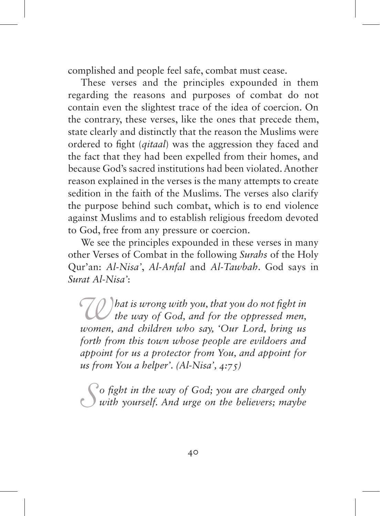complished and people feel safe, combat must cease.

These verses and the principles expounded in them regarding the reasons and purposes of combat do not contain even the slightest trace of the idea of coercion. On the contrary, these verses, like the ones that precede them, state clearly and distinctly that the reason the Muslims were ordered to fight (*qitaal*) was the aggression they faced and the fact that they had been expelled from their homes, and because God's sacred institutions had been violated. Another reason explained in the verses is the many attempts to create sedition in the faith of the Muslims. The verses also clarify the purpose behind such combat, which is to end violence against Muslims and to establish religious freedom devoted to God, free from any pressure or coercion.

We see the principles expounded in these verses in many other Verses of Combat in the following *Surahs* of the Holy Qur'an: *Al-Nisa'*, *Al-Anfal* and *Al-Tawbah*. God says in *Surat Al-Nisa'*:

*What is wrong with you, that you do not fight in the way of God, and for the oppressed men, women, and children who say, 'Our Lord, bring us forth from this town whose people are evildoers and appoint for us a protector from You, and appoint for us from You a helper'. (Al-Nisa', 4:75)*

*S o fight in the way of God; you are charged only with yourself. And urge on the believers; maybe*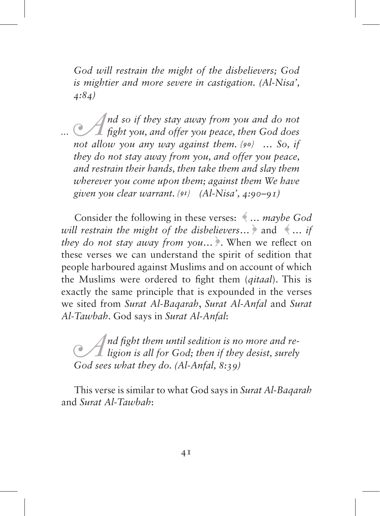*God will restrain the might of the disbelievers; God is mightier and more severe in castigation. (Al-Nisa', 4:84)*

*A*<sup>*nd so if they stay away from you and do not*<br> *fight you, and offer you peace, then God does*<br> *not allow you any way against them*  $\{so\}$  So *if*</sup> *not allow you any way against them. {90} … So, if they do not stay away from you, and offer you peace, and restrain their hands, then take them and slay them wherever you come upon them; against them We have given you clear warrant. {91} (Al-Nisa', 4:90–91)*

Consider the following in these verses: ﴾ … *maybe God will restrain the might of the disbelievers*… ﴿ and ﴾ … *if they do not stay away from you*… ﴿. When we reflect on these verses we can understand the spirit of sedition that people harboured against Muslims and on account of which the Muslims were ordered to fight them (*qitaal*). This is exactly the same principle that is expounded in the verses we sited from *Surat Al-Baqarah*, *Surat Al-Anfal* and *Surat Al-Tawbah*. God says in *Surat Al-Anfal*:

*A*<sup>*nd fight them until sedition is no more and re-<br><i>ligion is all for God; then if they desist, surely*<br>*God sees what they do (Al-Anfal 8:20)*</sup> *God sees what they do. (Al-Anfal, 8:39)*

This verse is similar to what God says in *Surat Al-Baqarah* and *Surat Al-Tawbah*: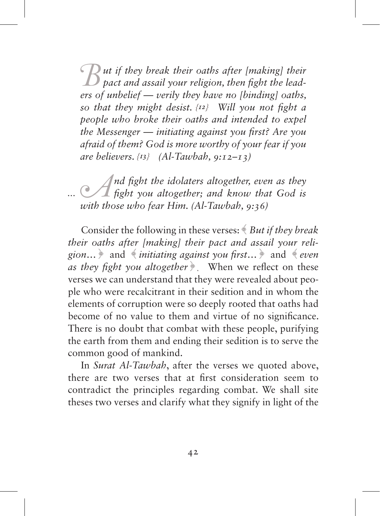$B$  *ut if they break their oaths after [making] their*  $B$  *pact and assail your religion, then fight the leaders of unbelief — verily they have no [binding] oaths, so that they might desist. {12} Will you not fight a people who broke their oaths and intended to expel the Messenger — initiating against you first? Are you afraid of them? God is more worthy of your fear if you are believers. {13} (Al-Tawbah, 9:12–13)*

*A*<sup>*nd fight the idolaters altogether, even as they fight you altogether; and know that God is with those who fear Him (Al-Tawhah 0:26)*</sup> *with those who fear Him. (Al-Tawbah, 9:36)*

Consider the following in these verses: ﴾ *But if they break their oaths after [making] their pact and assail your religion*… ﴿ and ﴾ *initiating against you first*… ﴿ and ﴾ *even as they fight you altogether*  $\triangle$  When we reflect on these verses we can understand that they were revealed about people who were recalcitrant in their sedition and in whom the elements of corruption were so deeply rooted that oaths had become of no value to them and virtue of no significance. There is no doubt that combat with these people, purifying the earth from them and ending their sedition is to serve the common good of mankind.

In *Surat Al-Tawbah*, after the verses we quoted above, there are two verses that at first consideration seem to contradict the principles regarding combat. We shall site theses two verses and clarify what they signify in light of the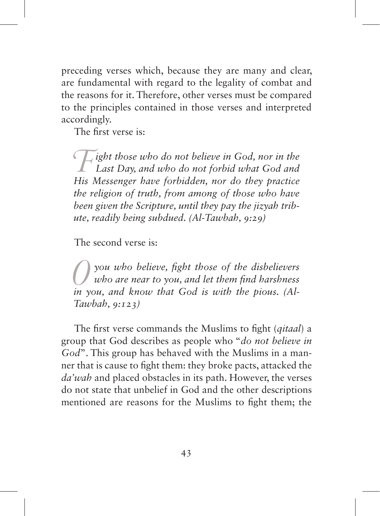preceding verses which, because they are many and clear, are fundamental with regard to the legality of combat and the reasons for it. Therefore, other verses must be compared to the principles contained in those verses and interpreted accordingly.

The first verse is:

*Fight those who do not believe in God, nor in the Last Day, and who do not forbid what God and His Messenger have forbidden, nor do they practice the religion of truth, from among of those who have been given the Scripture, until they pay the jizyah tribute, readily being subdued. (Al-Tawbah, 9:29)*

The second verse is:

*O you who believe, fight those of the disbelievers who are near to you, and let them find harshness in you, and know that God is with the pious. (Al-Tawbah, 9:123)*

The first verse commands the Muslims to fight (*qitaal*) a group that God describes as people who "*do not believe in God*". This group has behaved with the Muslims in a manner that is cause to fight them: they broke pacts, attacked the *da'wah* and placed obstacles in its path. However, the verses do not state that unbelief in God and the other descriptions mentioned are reasons for the Muslims to fight them; the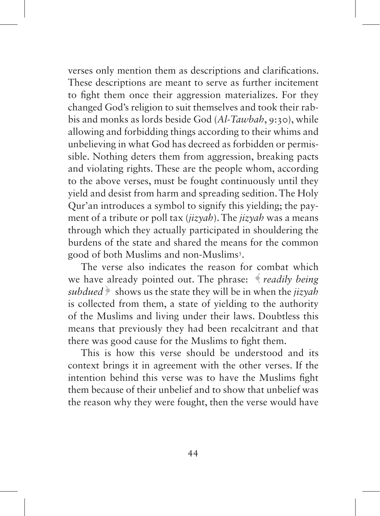verses only mention them as descriptions and clarifications. These descriptions are meant to serve as further incitement to fight them once their aggression materializes. For they changed God's religion to suit themselves and took their rabbis and monks as lords beside God (*Al-Tawbah*, 9:30), while allowing and forbidding things according to their whims and unbelieving in what God has decreed as forbidden or permissible. Nothing deters them from aggression, breaking pacts and violating rights. These are the people whom, according to the above verses, must be fought continuously until they yield and desist from harm and spreading sedition. The Holy Qur'an introduces a symbol to signify this yielding; the payment of a tribute or poll tax (*jizyah*). The *jizyah* was a means through which they actually participated in shouldering the burdens of the state and shared the means for the common good of both Muslims and non-Muslims3 .

The verse also indicates the reason for combat which we have already pointed out. The phrase: ﴾ *readily being subdued* ﴿ shows us the state they will be in when the *jizyah* is collected from them, a state of yielding to the authority of the Muslims and living under their laws. Doubtless this means that previously they had been recalcitrant and that there was good cause for the Muslims to fight them.

This is how this verse should be understood and its context brings it in agreement with the other verses. If the intention behind this verse was to have the Muslims fight them because of their unbelief and to show that unbelief was the reason why they were fought, then the verse would have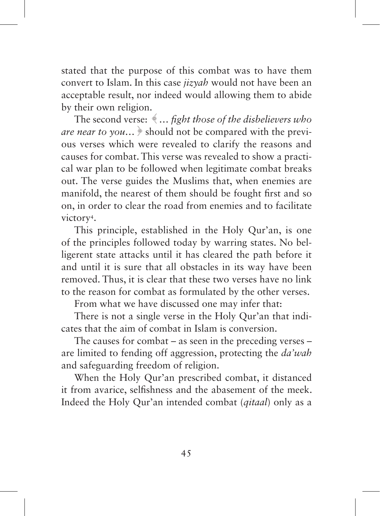stated that the purpose of this combat was to have them convert to Islam. In this case *jizyah* would not have been an acceptable result, nor indeed would allowing them to abide by their own religion.

The second verse: ﴾ *… fight those of the disbelievers who are near to you...*  $\frac{1}{2}$  should not be compared with the previous verses which were revealed to clarify the reasons and causes for combat. This verse was revealed to show a practical war plan to be followed when legitimate combat breaks out. The verse guides the Muslims that, when enemies are manifold, the nearest of them should be fought first and so on, in order to clear the road from enemies and to facilitate victory<sup>4</sup>.

This principle, established in the Holy Qur'an, is one of the principles followed today by warring states. No belligerent state attacks until it has cleared the path before it and until it is sure that all obstacles in its way have been removed. Thus, it is clear that these two verses have no link to the reason for combat as formulated by the other verses.

From what we have discussed one may infer that:

There is not a single verse in the Holy Qur'an that indicates that the aim of combat in Islam is conversion.

The causes for combat – as seen in the preceding verses – are limited to fending off aggression, protecting the *da'wah* and safeguarding freedom of religion.

When the Holy Qur'an prescribed combat, it distanced it from avarice, selfishness and the abasement of the meek. Indeed the Holy Qur'an intended combat (*qitaal*) only as a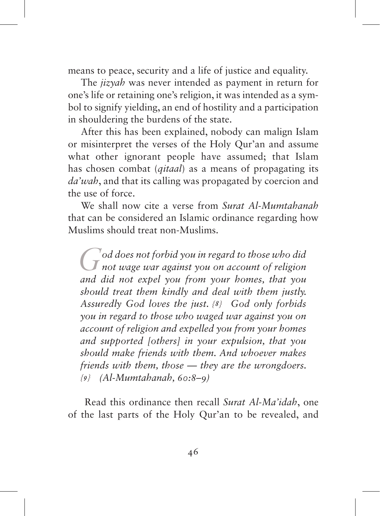means to peace, security and a life of justice and equality.

The *jizyah* was never intended as payment in return for one's life or retaining one's religion, it was intended as a symbol to signify yielding, an end of hostility and a participation in shouldering the burdens of the state.

After this has been explained, nobody can malign Islam or misinterpret the verses of the Holy Qur'an and assume what other ignorant people have assumed; that Islam has chosen combat (*qitaal*) as a means of propagating its *da'wah*, and that its calling was propagated by coercion and the use of force.

We shall now cite a verse from *Surat Al-Mumtahanah* that can be considered an Islamic ordinance regarding how Muslims should treat non-Muslims.

God does not forbid you in regard to those who did<br> **G** not wage war against you on account of religion<br>
and did not expel you from your homes, that you *and did not expel you from your homes, that you should treat them kindly and deal with them justly. Assuredly God loves the just. {8} God only forbids you in regard to those who waged war against you on account of religion and expelled you from your homes and supported [others] in your expulsion, that you should make friends with them. And whoever makes friends with them, those — they are the wrongdoers. {9} (Al-Mumtahanah, 60:8–9)*

Read this ordinance then recall *Surat Al-Ma'idah*, one of the last parts of the Holy Qur'an to be revealed, and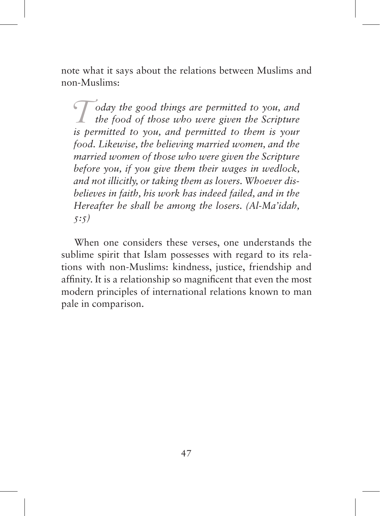note what it says about the relations between Muslims and non-Muslims:

 $\int$ *T* oday the good things are permitted to you, and the food of those who were given the Scripture is now and permitted to them is now *is permitted to you, and permitted to them is your food. Likewise, the believing married women, and the married women of those who were given the Scripture before you, if you give them their wages in wedlock, and not illicitly, or taking them as lovers. Whoever disbelieves in faith, his work has indeed failed, and in the Hereafter he shall be among the losers. (Al-Ma'idah, 5:5)*

When one considers these verses, one understands the sublime spirit that Islam possesses with regard to its relations with non-Muslims: kindness, justice, friendship and affinity. It is a relationship so magnificent that even the most modern principles of international relations known to man pale in comparison.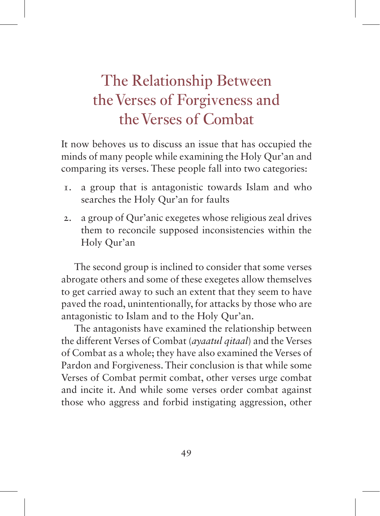## The Relationship Between the Verses of Forgiveness and the Verses of Combat

It now behoves us to discuss an issue that has occupied the minds of many people while examining the Holy Qur'an and comparing its verses. These people fall into two categories:

- 1. a group that is antagonistic towards Islam and who searches the Holy Qur'an for faults
- 2. a group of Qur'anic exegetes whose religious zeal drives them to reconcile supposed inconsistencies within the Holy Qur'an

The second group is inclined to consider that some verses abrogate others and some of these exegetes allow themselves to get carried away to such an extent that they seem to have paved the road, unintentionally, for attacks by those who are antagonistic to Islam and to the Holy Qur'an.

The antagonists have examined the relationship between the different Verses of Combat (*ayaatul qitaal*) and the Verses of Combat as a whole; they have also examined the Verses of Pardon and Forgiveness. Their conclusion is that while some Verses of Combat permit combat, other verses urge combat and incite it. And while some verses order combat against those who aggress and forbid instigating aggression, other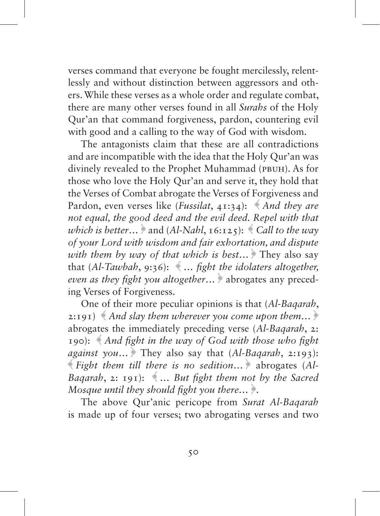verses command that everyone be fought mercilessly, relentlessly and without distinction between aggressors and others. While these verses as a whole order and regulate combat, there are many other verses found in all *Surahs* of the Holy Qur'an that command forgiveness, pardon, countering evil with good and a calling to the way of God with wisdom.

The antagonists claim that these are all contradictions and are incompatible with the idea that the Holy Qur'an was divinely revealed to the Prophet Muhammad (PBUH). As for those who love the Holy Qur'an and serve it, they hold that the Verses of Combat abrogate the Verses of Forgiveness and Pardon, even verses like (*Fussilat*, 41:34): *And they are not equal, the good deed and the evil deed. Repel with that which is better...*  $\ast$  and (*Al-Nahl*, 16:125):  $\ast$  *Call to the way of your Lord with wisdom and fair exhortation, and dispute with them by way of that which is best*… ﴿ They also say that (*Al-Tawbah*, 9:36): ﴾ … *fight the idolaters altogether, even as they fight you altogether*… ﴿ abrogates any preceding Verses of Forgiveness.

One of their more peculiar opinions is that (*Al-Baqarah*, 2:191) ﴾ *And slay them wherever you come upon them…* ﴿ abrogates the immediately preceding verse (*Al-Baqarah*, 2: 190): ﴾ *And fight in the way of God with those who fight against you*… ﴿ They also say that (*Al-Baqarah*, 2:193): ﴾ *Fight them till there is no sedition*… ﴿ abrogates (*Al-Baqarah*, 2: 191): ﴾ *… But fight them not by the Sacred Mosque until they should fight you there…* ﴿.

The above Qur'anic pericope from *Surat Al-Baqarah* is made up of four verses; two abrogating verses and two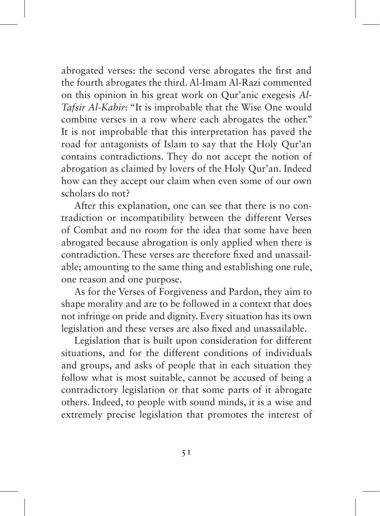abrogated verses: the second verse abrogates the first and the fourth abrogates the third. Al-Imam Al-Razi commented on this opinion in his great work on Qur'anic exegesis *Al-Tafsir Al-Kabir*: "It is improbable that the Wise One would combine verses in a row where each abrogates the other." It is not improbable that this interpretation has paved the road for antagonists of Islam to say that the Holy Qur'an contains contradictions. They do not accept the notion of abrogation as claimed by lovers of the Holy Qur'an. Indeed how can they accept our claim when even some of our own scholars do not?

After this explanation, one can see that there is no contradiction or incompatibility between the different Verses of Combat and no room for the idea that some have been abrogated because abrogation is only applied when there is contradiction. These verses are therefore fixed and unassailable; amounting to the same thing and establishing one rule, one reason and one purpose.

As for the Verses of Forgiveness and Pardon, they aim to shape morality and are to be followed in a context that does not infringe on pride and dignity. Every situation has its own legislation and these verses are also fixed and unassailable.

Legislation that is built upon consideration for different situations, and for the different conditions of individuals and groups, and asks of people that in each situation they follow what is most suitable, cannot be accused of being a contradictory legislation or that some parts of it abrogate others. Indeed, to people with sound minds, it is a wise and extremely precise legislation that promotes the interest of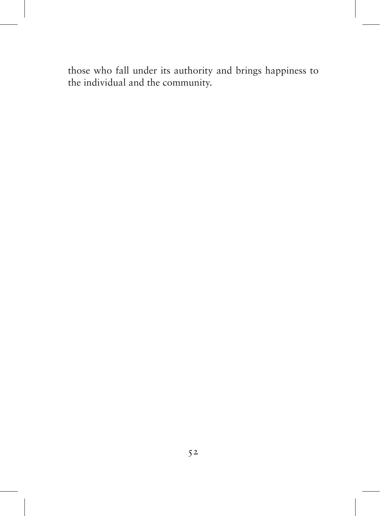those who fall under its authority and brings happiness to the individual and the community.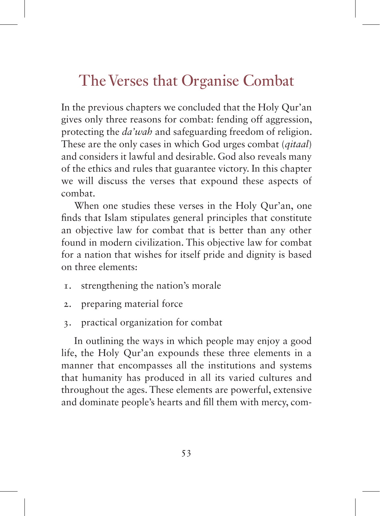## The Verses that Organise Combat

In the previous chapters we concluded that the Holy Qur'an gives only three reasons for combat: fending off aggression, protecting the *da'wah* and safeguarding freedom of religion. These are the only cases in which God urges combat (*qitaal*) and considers it lawful and desirable. God also reveals many of the ethics and rules that guarantee victory. In this chapter we will discuss the verses that expound these aspects of combat.

When one studies these verses in the Holy Qur'an, one finds that Islam stipulates general principles that constitute an objective law for combat that is better than any other found in modern civilization. This objective law for combat for a nation that wishes for itself pride and dignity is based on three elements:

- 1. strengthening the nation's morale
- 2. preparing material force
- 3. practical organization for combat

In outlining the ways in which people may enjoy a good life, the Holy Qur'an expounds these three elements in a manner that encompasses all the institutions and systems that humanity has produced in all its varied cultures and throughout the ages. These elements are powerful, extensive and dominate people's hearts and fill them with mercy, com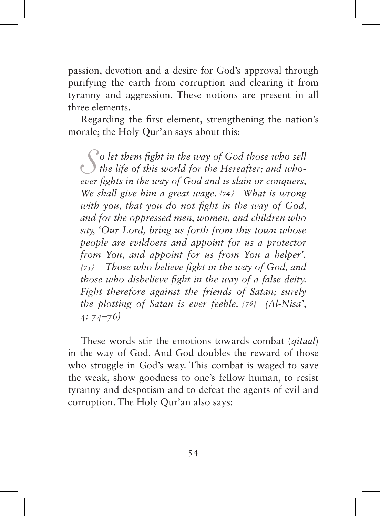passion, devotion and a desire for God's approval through purifying the earth from corruption and clearing it from tyranny and aggression. These notions are present in all three elements.

Regarding the first element, strengthening the nation's morale; the Holy Qur'an says about this:

So let them fight in the way of God those who sell the life of this world for the Hereafter; and who-<br>
ever fights in the way of God and is slain or conquers *ever fights in the way of God and is slain or conquers, We shall give him a great wage. {74} What is wrong with you, that you do not fight in the way of God, and for the oppressed men, women, and children who say, 'Our Lord, bring us forth from this town whose people are evildoers and appoint for us a protector from You, and appoint for us from You a helper'. {75} Those who believe fight in the way of God, and those who disbelieve fight in the way of a false deity. Fight therefore against the friends of Satan; surely the plotting of Satan is ever feeble. {76} (Al-Nisa', 4: 74–76)*

These words stir the emotions towards combat (*qitaal*) in the way of God. And God doubles the reward of those who struggle in God's way. This combat is waged to save the weak, show goodness to one's fellow human, to resist tyranny and despotism and to defeat the agents of evil and corruption. The Holy Qur'an also says: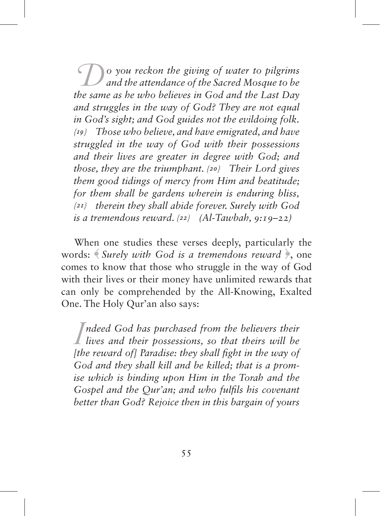*Do you reckon the giving of water to pilgrims and the attendance of the Sacred Mosque to be the same as he who believes in God and the Last Day and struggles in the way of God? They are not equal in God's sight; and God guides not the evildoing folk. {19} Those who believe, and have emigrated, and have struggled in the way of God with their possessions and their lives are greater in degree with God; and those, they are the triumphant. {20} Their Lord gives them good tidings of mercy from Him and beatitude; for them shall be gardens wherein is enduring bliss, {21} therein they shall abide forever. Surely with God is a tremendous reward. {22} (Al-Tawbah, 9:19–22)*

When one studies these verses deeply, particularly the words: ﴾ *Surely with God is a tremendous reward* ﴿, one comes to know that those who struggle in the way of God with their lives or their money have unlimited rewards that can only be comprehended by the All-Knowing, Exalted One. The Holy Qur'an also says:

*I* ndeed God has purchased from the believers their<br>lives and their possessions, so that theirs will be<br>[the reward of] Paradise: they shall fight in the way of *ndeed God has purchased from the believers their lives and their possessions, so that theirs will be God and they shall kill and be killed; that is a promise which is binding upon Him in the Torah and the Gospel and the Qur'an; and who fulfils his covenant better than God? Rejoice then in this bargain of yours*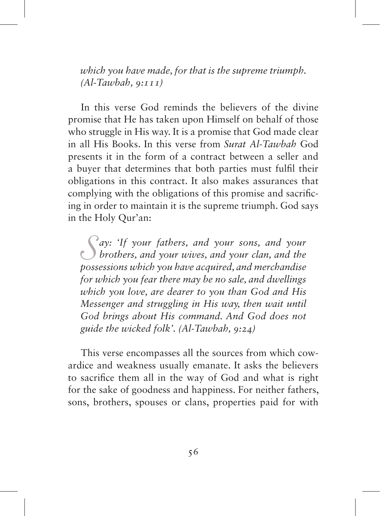*which you have made, for that is the supreme triumph. (Al-Tawbah, 9:111)*

In this verse God reminds the believers of the divine promise that He has taken upon Himself on behalf of those who struggle in His way. It is a promise that God made clear in all His Books. In this verse from *Surat Al-Tawbah* God presents it in the form of a contract between a seller and a buyer that determines that both parties must fulfil their obligations in this contract. It also makes assurances that complying with the obligations of this promise and sacrificing in order to maintain it is the supreme triumph. God says in the Holy Qur'an:

*S ay: 'If your fathers, and your sons, and your brothers, and your wives, and your clan, and the possessions which you have acquired, and merchandise for which you fear there may be no sale, and dwellings which you love, are dearer to you than God and His Messenger and struggling in His way, then wait until God brings about His command. And God does not guide the wicked folk'. (Al-Tawbah, 9:24)*

This verse encompasses all the sources from which cowardice and weakness usually emanate. It asks the believers to sacrifice them all in the way of God and what is right for the sake of goodness and happiness. For neither fathers, sons, brothers, spouses or clans, properties paid for with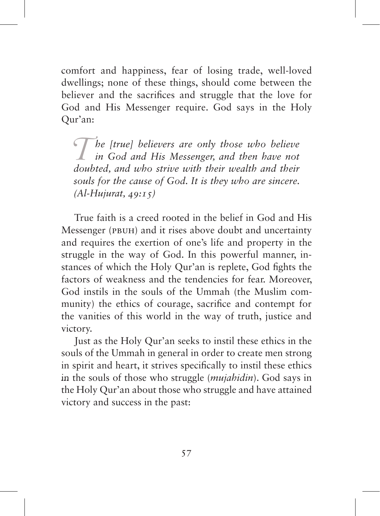comfort and happiness, fear of losing trade, well-loved dwellings; none of these things, should come between the believer and the sacrifices and struggle that the love for God and His Messenger require. God says in the Holy Qur'an:

*The [true] believers are only those who believe in God and His Messenger, and then have not doubted and who strine with their wealth and their doubted, and who strive with their wealth and their souls for the cause of God. It is they who are sincere. (Al-Hujurat, 49:15)*

True faith is a creed rooted in the belief in God and His Messenger (PBUH) and it rises above doubt and uncertainty and requires the exertion of one's life and property in the struggle in the way of God. In this powerful manner, instances of which the Holy Qur'an is replete, God fights the factors of weakness and the tendencies for fear. Moreover, God instils in the souls of the Ummah (the Muslim community) the ethics of courage, sacrifice and contempt for the vanities of this world in the way of truth, justice and victory.

Just as the Holy Qur'an seeks to instil these ethics in the souls of the Ummah in general in order to create men strong in spirit and heart, it strives specifically to instil these ethics in the souls of those who struggle (*mujahidin*). God says in the Holy Qur'an about those who struggle and have attained victory and success in the past: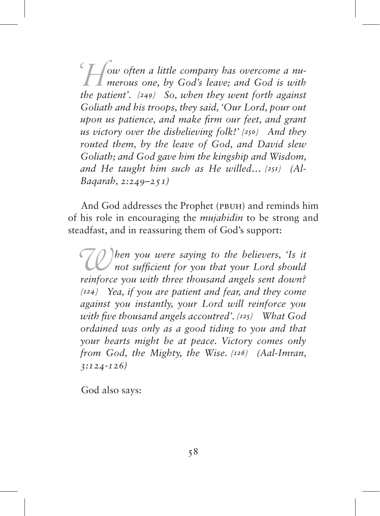<sup>*c*</sup>  $\frac{1}{2}$  *ow often a little company has overcome a nu-*<br>*merous one, by God's leave; and God is with the patient'*  $(240)$  *So when they went forth against the patient'. {249} So, when they went forth against Goliath and his troops, they said, 'Our Lord, pour out upon us patience, and make firm our feet, and grant us victory over the disbelieving folk!' {250} And they routed them, by the leave of God, and David slew Goliath; and God gave him the kingship and Wisdom, and He taught him such as He willed… {251} (Al-Baqarah, 2:249–251)*

And God addresses the Prophet (PBUH) and reminds him of his role in encouraging the *mujahidin* to be strong and steadfast, and in reassuring them of God's support:

When you were saying to the believers, 'Is it not sufficient for you that your Lord should **reinforce** you with three thousand angels sent down? *reinforce you with three thousand angels sent down? {124} Yea, if you are patient and fear, and they come against you instantly, your Lord will reinforce you with five thousand angels accoutred'. {125} What God ordained was only as a good tiding to you and that your hearts might be at peace. Victory comes only from God, the Mighty, the Wise. {126} (Aal-Imran, 3:124-126)*

God also says: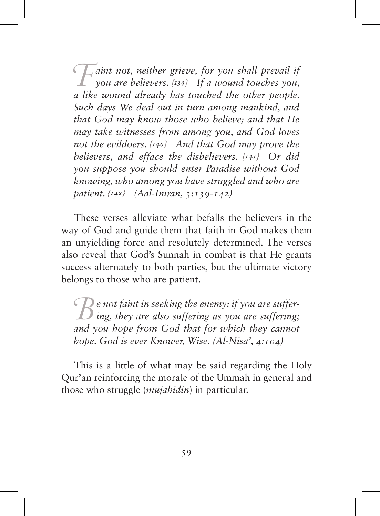*Faint not, neither grieve, for you shall prevail if you are believers. {139} If a wound touches you, a like wound already has touched the other people. Such days We deal out in turn among mankind, and that God may know those who believe; and that He may take witnesses from among you, and God loves not the evildoers. {140} And that God may prove the believers, and efface the disbelievers. {141} Or did you suppose you should enter Paradise without God knowing, who among you have struggled and who are patient. {142} (Aal-Imran, 3:139-142)*

These verses alleviate what befalls the believers in the way of God and guide them that faith in God makes them an unyielding force and resolutely determined. The verses also reveal that God's Sunnah in combat is that He grants success alternately to both parties, but the ultimate victory belongs to those who are patient.

*B e* not faint in seeking the enemy; if you are suffering;<br>and you hope from God that for which they cannot *and you hope from God that for which they cannot hope. God is ever Knower, Wise. (Al-Nisa', 4:104)*

This is a little of what may be said regarding the Holy Qur'an reinforcing the morale of the Ummah in general and those who struggle (*mujahidin*) in particular.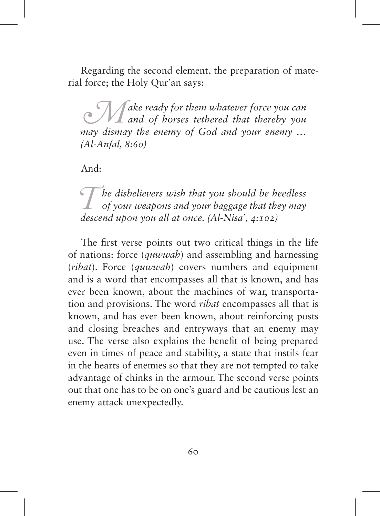Regarding the second element, the preparation of material force; the Holy Qur'an says:

*M* ake ready for them whatever force you can and of horses tethered that thereby you and your enemy *may dismay the enemy of God and your enemy … (Al-Anfal, 8:60)*

And:

*The disbelievers wish that you should be heedless* of your weapons and your baggage that they may descend upon you all at once (Al-Nisa', 4:102) *descend upon you all at once. (Al-Nisa', 4:102)*

The first verse points out two critical things in the life of nations: force (*quwwah*) and assembling and harnessing (*ribat*). Force (*quwwah*) covers numbers and equipment and is a word that encompasses all that is known, and has ever been known, about the machines of war, transportation and provisions. The word *ribat* encompasses all that is known, and has ever been known, about reinforcing posts and closing breaches and entryways that an enemy may use. The verse also explains the benefit of being prepared even in times of peace and stability, a state that instils fear in the hearts of enemies so that they are not tempted to take advantage of chinks in the armour. The second verse points out that one has to be on one's guard and be cautious lest an enemy attack unexpectedly.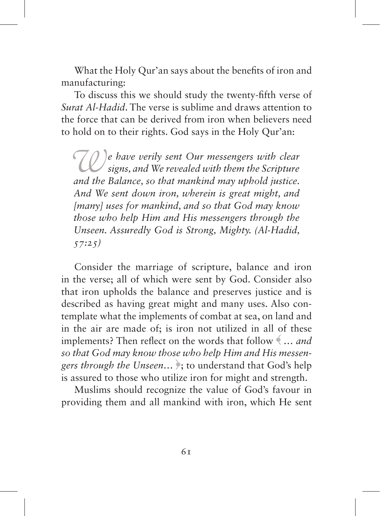What the Holy Qur'an says about the benefits of iron and manufacturing:

To discuss this we should study the twenty-fifth verse of *Surat Al-Hadid*. The verse is sublime and draws attention to the force that can be derived from iron when believers need to hold on to their rights. God says in the Holy Qur'an:

*We have verily sent Our messengers with clear signs, and We revealed with them the Scripture and the Balance, so that mankind may uphold justice. And We sent down iron, wherein is great might, and [many] uses for mankind, and so that God may know those who help Him and His messengers through the Unseen. Assuredly God is Strong, Mighty. (Al-Hadid, 57:25)*

Consider the marriage of scripture, balance and iron in the verse; all of which were sent by God. Consider also that iron upholds the balance and preserves justice and is described as having great might and many uses. Also contemplate what the implements of combat at sea, on land and in the air are made of; is iron not utilized in all of these implements? Then reflect on the words that follow ﴾ *… and so that God may know those who help Him and His messengers through the Unseen…* ﴿; to understand that God's help is assured to those who utilize iron for might and strength.

Muslims should recognize the value of God's favour in providing them and all mankind with iron, which He sent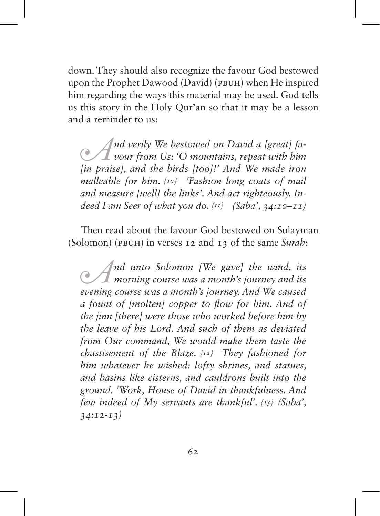down. They should also recognize the favour God bestowed upon the Prophet Dawood (David) (pbuh) when He inspired him regarding the ways this material may be used. God tells us this story in the Holy Qur'an so that it may be a lesson and a reminder to us:

*A nd verily We bestowed on David a [great] fa-*<br>*vour from Us: 'O mountains, repeat with him*<br>*lin traisel, and the hirds [tool]'* And We made iron *[in praise], and the birds [too]!' And We made iron malleable for him. {10} 'Fashion long coats of mail and measure [well] the links'. And act righteously. Indeed I am Seer of what you do. {11} (Saba', 34:10–11)*

Then read about the favour God bestowed on Sulayman (Solomon) (pbuh) in verses 12 and 13 of the same *Surah*:

*A*<sup>*nd unto Solomon [We gave] the wind, its morning course was a month's journey and its evening course was a month's journey And We caused*</sup> *evening course was a month's journey. And We caused a fount of [molten] copper to flow for him. And of the jinn [there] were those who worked before him by the leave of his Lord. And such of them as deviated from Our command, We would make them taste the chastisement of the Blaze. {12} They fashioned for him whatever he wished: lofty shrines, and statues, and basins like cisterns, and cauldrons built into the ground. 'Work, House of David in thankfulness. And few indeed of My servants are thankful'. {13} (Saba', 34:12-13)*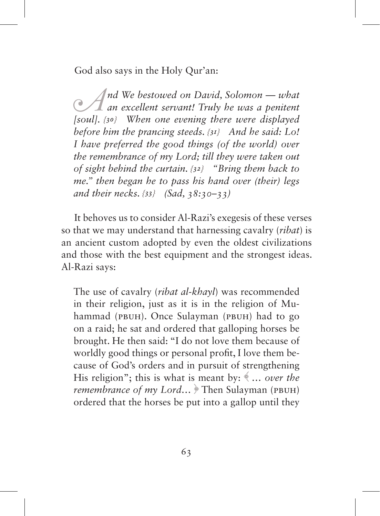God also says in the Holy Qur'an:

*A*<sup>*nd We bestowed on David, Solomon — what*<br> *an excellent servant! Truly he was a penitent*<br>  $\frac{1}{2}$   $\frac{1}{2}$   $\frac{1}{2}$   $\frac{1}{2}$   $\frac{1}{2}$   $\frac{1}{2}$   $\frac{1}{2}$   $\frac{1}{2}$   $\frac{1}{2}$   $\frac{1}{2}$   $\frac{1}{2}$   $\frac{1}{2}$   $\frac{1}{$ *[soul]. {30} When one evening there were displayed before him the prancing steeds. {31} And he said: Lo! I have preferred the good things (of the world) over the remembrance of my Lord; till they were taken out of sight behind the curtain. {32} "Bring them back to me." then began he to pass his hand over (their) legs and their necks. {33} (Sad, 38:30–33)*

It behoves us to consider Al-Razi's exegesis of these verses so that we may understand that harnessing cavalry (*ribat*) is an ancient custom adopted by even the oldest civilizations and those with the best equipment and the strongest ideas. Al-Razi says:

The use of cavalry (*ribat al-khayl*) was recommended in their religion, just as it is in the religion of Muhammad (PBUH). Once Sulayman (PBUH) had to go on a raid; he sat and ordered that galloping horses be brought. He then said: "I do not love them because of worldly good things or personal profit, I love them because of God's orders and in pursuit of strengthening His religion"; this is what is meant by: ﴾ … *over the remembrance of my Lord...* Then Sulayman (PBUH) ordered that the horses be put into a gallop until they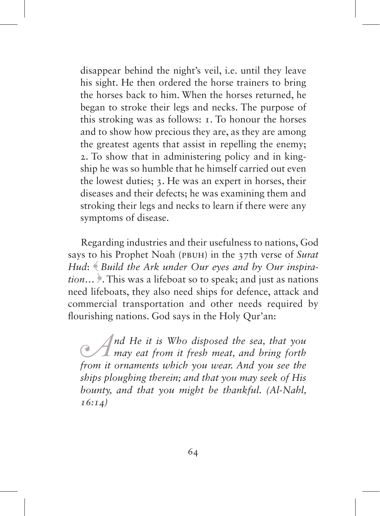disappear behind the night's veil, i.e. until they leave his sight. He then ordered the horse trainers to bring the horses back to him. When the horses returned, he began to stroke their legs and necks. The purpose of this stroking was as follows: 1. To honour the horses and to show how precious they are, as they are among the greatest agents that assist in repelling the enemy; 2. To show that in administering policy and in kingship he was so humble that he himself carried out even the lowest duties; 3. He was an expert in horses, their diseases and their defects; he was examining them and stroking their legs and necks to learn if there were any symptoms of disease.

Regarding industries and their usefulness to nations, God says to his Prophet Noah (pbuh) in the 37th verse of *Surat Hud*: ﴾ *Build the Ark under Our eyes and by Our inspiration*… ﴿. This was a lifeboat so to speak; and just as nations need lifeboats, they also need ships for defence, attack and commercial transportation and other needs required by flourishing nations. God says in the Holy Qur'an:

*A*<sup>*nd He it is Who disposed the sea, that you may eat from it fresh meat, and bring forth from it ornaments which you wear And you see the*</sup> *from it ornaments which you wear. And you see the ships ploughing therein; and that you may seek of His bounty, and that you might be thankful. (Al-Nahl, 16:14)*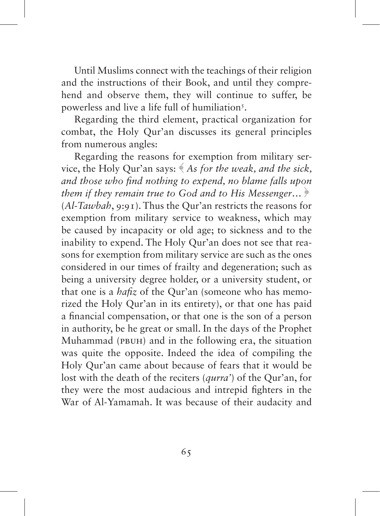Until Muslims connect with the teachings of their religion and the instructions of their Book, and until they comprehend and observe them, they will continue to suffer, be powerless and live a life full of humiliation<sup>5</sup>.

Regarding the third element, practical organization for combat, the Holy Qur'an discusses its general principles from numerous angles:

Regarding the reasons for exemption from military service, the Holy Qur'an says: ﴾ *As for the weak, and the sick, and those who find nothing to expend, no blame falls upon them if they remain true to God and to His Messenger*… ﴿ (*Al-Tawbah*, 9:91). Thus the Qur'an restricts the reasons for exemption from military service to weakness, which may be caused by incapacity or old age; to sickness and to the inability to expend. The Holy Qur'an does not see that reasons for exemption from military service are such as the ones considered in our times of frailty and degeneration; such as being a university degree holder, or a university student, or that one is a *hafiz* of the Qur'an (someone who has memorized the Holy Qur'an in its entirety), or that one has paid a financial compensation, or that one is the son of a person in authority, be he great or small. In the days of the Prophet Muhammad (pbuh) and in the following era, the situation was quite the opposite. Indeed the idea of compiling the Holy Qur'an came about because of fears that it would be lost with the death of the reciters (*qurra'*) of the Qur'an, for they were the most audacious and intrepid fighters in the War of Al-Yamamah. It was because of their audacity and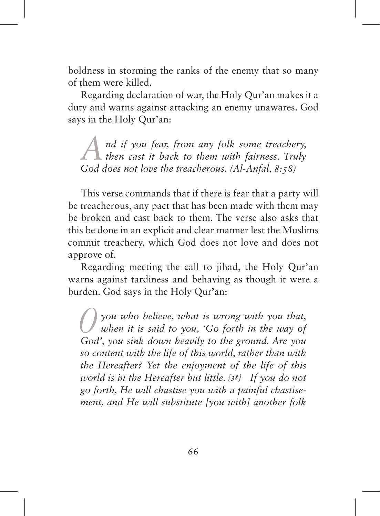boldness in storming the ranks of the enemy that so many of them were killed.

Regarding declaration of war, the Holy Qur'an makes it a duty and warns against attacking an enemy unawares. God says in the Holy Qur'an:

*And if you fear, from any folk some treachery, then cast it back to them with fairness. Truly God does not love the treacherous. (Al-Anfal, 8:58)* 

This verse commands that if there is fear that a party will be treacherous, any pact that has been made with them may be broken and cast back to them. The verse also asks that this be done in an explicit and clear manner lest the Muslims commit treachery, which God does not love and does not approve of.

Regarding meeting the call to jihad, the Holy Qur'an warns against tardiness and behaving as though it were a burden. God says in the Holy Qur'an:

*Oyou who believe, what is wrong with you that, when it is said to you, 'Go forth in the way of God', you sink down heavily to the ground. Are you so content with the life of this world, rather than with the Hereafter? Yet the enjoyment of the life of this world is in the Hereafter but little. {38} If you do not go forth, He will chastise you with a painful chastisement, and He will substitute [you with] another folk*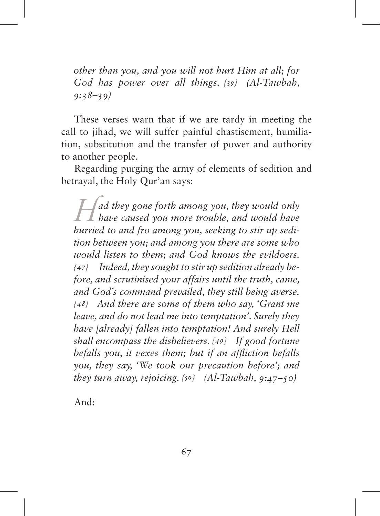*other than you, and you will not hurt Him at all; for God has power over all things. {39} (Al-Tawbah, 9:38–39)*

These verses warn that if we are tardy in meeting the call to jihad, we will suffer painful chastisement, humiliation, substitution and the transfer of power and authority to another people.

Regarding purging the army of elements of sedition and betrayal, the Holy Qur'an says:

*Had they gone forth among you, they would only have caused you more trouble, and would have hurried to and fro among you, seeking to stir up sedition between you; and among you there are some who would listen to them; and God knows the evildoers. {47} Indeed, they sought to stir up sedition already before, and scrutinised your affairs until the truth, came, and God's command prevailed, they still being averse. {48} And there are some of them who say, 'Grant me leave, and do not lead me into temptation'. Surely they have [already] fallen into temptation! And surely Hell shall encompass the disbelievers. {49} If good fortune befalls you, it vexes them; but if an affliction befalls you, they say, 'We took our precaution before'; and they turn away, rejoicing. {50} (Al-Tawbah, 9:47–50)*

And: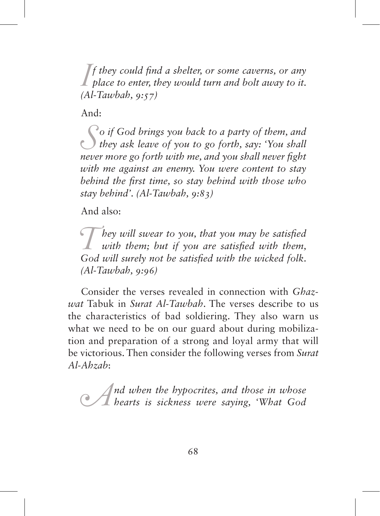*I*<sup> $\int$ </sup> *f they could find a shelter, or some caverns, or any place to enter, they would turn and bolt away to it.*  $\frac{1}{\int$   $\int$   $\frac{1}{\int}$ *f they could find a shelter, or some caverns, or any (Al-Tawbah, 9:57)*

And:

*S o if God brings you back to a party of them, and they ask leave of you to go forth, say: 'You shall never more go forth with me, and you shall never fight with me against an enemy. You were content to stay behind the first time, so stay behind with those who stay behind'. (Al-Tawbah, 9:83)*

And also:

*They will swear to you, that you may be satisfied with them; but if you are satisfied with them,*<br>God will surely not be satisfied with the wicked folk *God will surely not be satisfied with the wicked folk. (Al-Tawbah, 9:96)* 

Consider the verses revealed in connection with *Ghazwat* Tabuk in *Surat Al-Tawbah*. The verses describe to us the characteristics of bad soldiering. They also warn us what we need to be on our guard about during mobilization and preparation of a strong and loyal army that will be victorious. Then consider the following verses from *Surat Al-Ahzab*:

*And when the hypocrites, and those in whose hearts is sickness were saying, 'What God*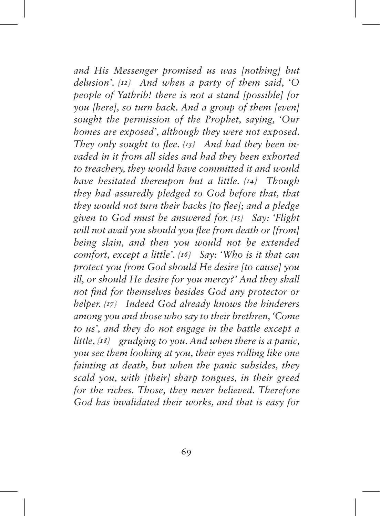*and His Messenger promised us was [nothing] but delusion'. {12} And when a party of them said, 'O people of Yathrib! there is not a stand [possible] for you [here], so turn back. And a group of them [even] sought the permission of the Prophet, saying, 'Our homes are exposed', although they were not exposed. They only sought to flee. {13} And had they been invaded in it from all sides and had they been exhorted to treachery, they would have committed it and would have hesitated thereupon but a little. {14} Though they had assuredly pledged to God before that, that they would not turn their backs [to flee]; and a pledge given to God must be answered for. {15} Say: 'Flight will not avail you should you flee from death or [from] being slain, and then you would not be extended comfort, except a little'. {16} Say: 'Who is it that can protect you from God should He desire [to cause] you ill, or should He desire for you mercy?' And they shall not find for themselves besides God any protector or helper. {17} Indeed God already knows the hinderers among you and those who say to their brethren, 'Come to us', and they do not engage in the battle except a little, {18} grudging to you. And when there is a panic, you see them looking at you, their eyes rolling like one fainting at death, but when the panic subsides, they scald you, with [their] sharp tongues, in their greed for the riches. Those, they never believed. Therefore God has invalidated their works, and that is easy for*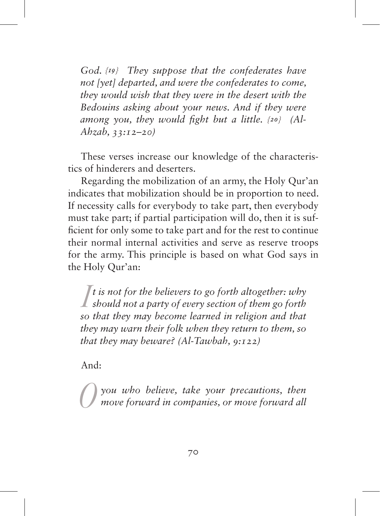*God. {19} They suppose that the confederates have not [yet] departed, and were the confederates to come, they would wish that they were in the desert with the Bedouins asking about your news. And if they were among you, they would fight but a little. {20} (Al-Ahzab, 33:12–20)*

These verses increase our knowledge of the characteristics of hinderers and deserters.

Regarding the mobilization of an army, the Holy Qur'an indicates that mobilization should be in proportion to need. If necessity calls for everybody to take part, then everybody must take part; if partial participation will do, then it is sufficient for only some to take part and for the rest to continue their normal internal activities and serve as reserve troops for the army. This principle is based on what God says in the Holy Qur'an:

 $\int$ *I* is not for the believers to go forth altogether: why should not a party of every section of them go forth  $\frac{1}{2}$  so that they may become learned in religion and that *t is not for the believers to go forth altogether: why so that they may become learned in religion and that they may warn their folk when they return to them, so that they may beware? (Al-Tawbah, 9:122)*

And:

*O you who believe, take your precautions, then move forward in companies, or move forward all*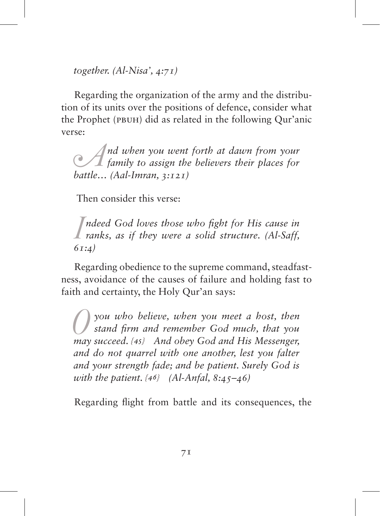*together. (Al-Nisa', 4:71)*

Regarding the organization of the army and the distribution of its units over the positions of defence, consider what the Prophet (pbuh) did as related in the following Qur'anic verse:

*A*<sup>*nd when you went forth at dawn from your*<br> *family to assign the believers their places for*<br> *hattle* (Aal-Imran 3:121)</sup> *battle… (Aal-Imran, 3:121)*

Then consider this verse:

*I I ranks, as if they were a solid structure. (Al-Saff, 61.4) ndeed God loves those who fight for His cause in 61:4)*

Regarding obedience to the supreme command, steadfastness, avoidance of the causes of failure and holding fast to faith and certainty, the Holy Qur'an says:

*O you who believe, when you meet a host, then stand firm and remember God much, that you may succeed. {45} And obey God and His Messenger, and do not quarrel with one another, lest you falter and your strength fade; and be patient. Surely God is with the patient. {46} (Al-Anfal, 8:45–46)*

Regarding flight from battle and its consequences, the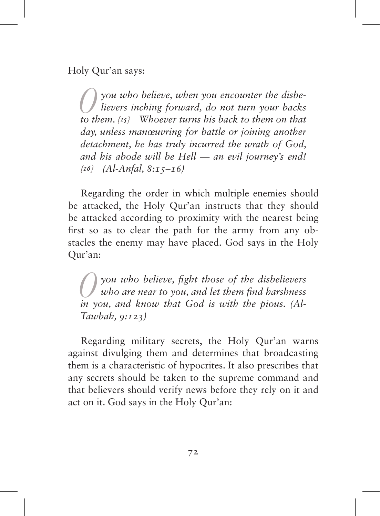Holy Qur'an says:

*O you who believe, when you encounter the disbe-lievers inching forward, do not turn your backs to them. {15} Whoever turns his back to them on that day, unless manœuvring for battle or joining another detachment, he has truly incurred the wrath of God, and his abode will be Hell — an evil journey's end! {16} (Al-Anfal, 8:15–16)*

Regarding the order in which multiple enemies should be attacked, the Holy Qur'an instructs that they should be attacked according to proximity with the nearest being first so as to clear the path for the army from any obstacles the enemy may have placed. God says in the Holy Qur'an:

*O you who believe, fight those of the disbelievers who are near to you, and let them find harshness in you, and know that God is with the pious. (Al-Tawbah, 9:123)*

Regarding military secrets, the Holy Qur'an warns against divulging them and determines that broadcasting them is a characteristic of hypocrites. It also prescribes that any secrets should be taken to the supreme command and that believers should verify news before they rely on it and act on it. God says in the Holy Qur'an: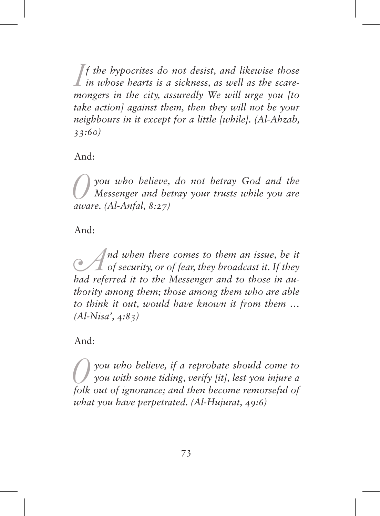$\iint$  *f the hypocrites do not desist, and likewise those in whose hearts is a sickness, as well as the scare-*<br> *mongers in the city assuredly We will urge you fto f the hypocrites do not desist, and likewise those mongers in the city, assuredly We will urge you [to take action] against them, then they will not be your neighbours in it except for a little [while]. (Al-Ahzab, 33:60)*

And:

*O you who believe, do not betray God and the Messenger and betray your trusts while you are aware. (Al-Anfal, 8:27)*

And:

*A*<sup>*nd when there comes to them an issue, be it* of *security, or of fear, they broadcast it. If they had referred it to the Messenger and to those in au-*</sup> *had referred it to the Messenger and to those in authority among them; those among them who are able to think it out, would have known it from them … (Al-Nisa', 4:83)*

And:

*O you who believe, if a reprobate should come to you with some tiding, verify [it], lest you injure a folk out of ignorance; and then become remorseful of what you have perpetrated. (Al-Hujurat, 49:6)*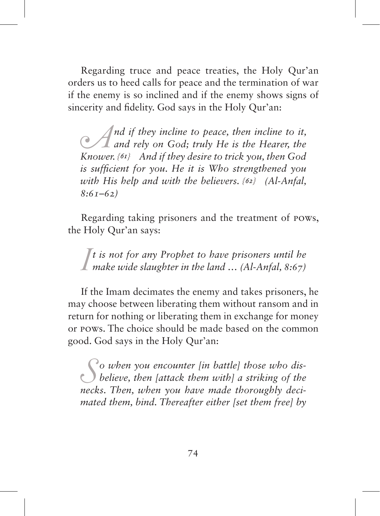Regarding truce and peace treaties, the Holy Qur'an orders us to heed calls for peace and the termination of war if the enemy is so inclined and if the enemy shows signs of sincerity and fidelity. God says in the Holy Qur'an:

*A*<sup>*nd if they incline to peace, then incline to it,*  $\alpha$ *and rely on God; truly He is the Hearer, the Knower*  $\{\alpha\}$  *And if they desire to trick you then God*</sup> *Knower. {61} And if they desire to trick you, then God is sufficient for you. He it is Who strengthened you with His help and with the believers. {62} (Al-Anfal, 8:61–62)*

Regarding taking prisoners and the treatment of POWs, the Holy Qur'an says:

*I t is not for any Prophet to have prisoners until he make wide slaughter in the land … (Al-Anfal, 8:67)*

If the Imam decimates the enemy and takes prisoners, he may choose between liberating them without ransom and in return for nothing or liberating them in exchange for money or POWs. The choice should be made based on the common good. God says in the Holy Qur'an:

*S o when you encounter [in battle] those who dis-believe, then [attack them with] a striking of the necks. Then, when you have made thoroughly decimated them, bind. Thereafter either [set them free] by*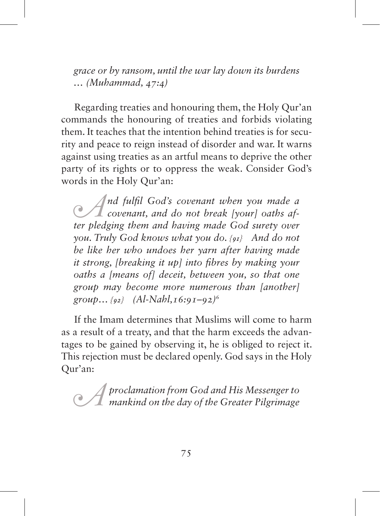*grace or by ransom, until the war lay down its burdens … (Muhammad, 47:4)*

Regarding treaties and honouring them, the Holy Qur'an commands the honouring of treaties and forbids violating them. It teaches that the intention behind treaties is for security and peace to reign instead of disorder and war. It warns against using treaties as an artful means to deprive the other party of its rights or to oppress the weak. Consider God's words in the Holy Qur'an:

*A*<sup>*nd fulfil God's covenant when you made a*<br> *covenant, and do not break [your] oaths af-*<br> *ter bledging them and having made God surety over*</sup> *ter pledging them and having made God surety over you. Truly God knows what you do. {91} And do not be like her who undoes her yarn after having made it strong, [breaking it up] into fibres by making your oaths a [means of] deceit, between you, so that one group may become more numerous than [another] group… {92} (Al-Nahl,16:91–92)*<sup>6</sup>

If the Imam determines that Muslims will come to harm as a result of a treaty, and that the harm exceeds the advantages to be gained by observing it, he is obliged to reject it. This rejection must be declared openly. God says in the Holy Qur'an:

*A proclamation from God and His Messenger to mankind on the day of the Greater Pilgrimage*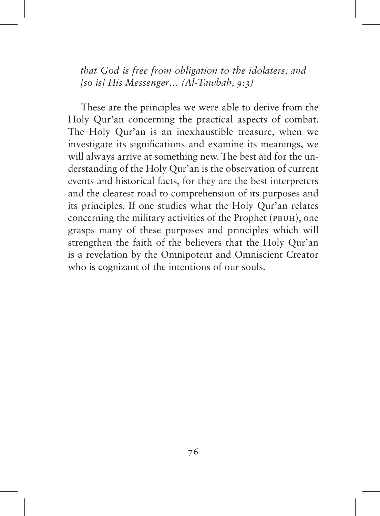*that God is free from obligation to the idolaters, and [so is] His Messenger… (Al-Tawbah, 9:3)*

These are the principles we were able to derive from the Holy Qur'an concerning the practical aspects of combat. The Holy Qur'an is an inexhaustible treasure, when we investigate its significations and examine its meanings, we will always arrive at something new. The best aid for the understanding of the Holy Qur'an is the observation of current events and historical facts, for they are the best interpreters and the clearest road to comprehension of its purposes and its principles. If one studies what the Holy Qur'an relates concerning the military activities of the Prophet (PBUH), one grasps many of these purposes and principles which will strengthen the faith of the believers that the Holy Qur'an is a revelation by the Omnipotent and Omniscient Creator who is cognizant of the intentions of our souls.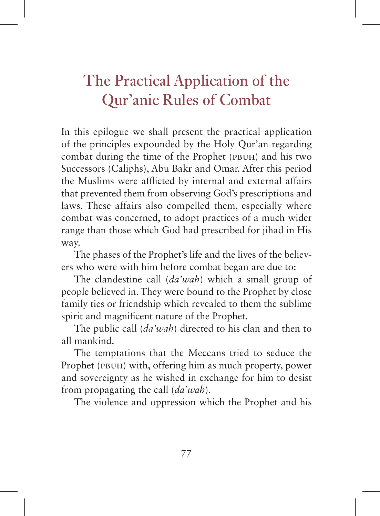## The Practical Application of the Qur'anic Rules of Combat

In this epilogue we shall present the practical application of the principles expounded by the Holy Qur'an regarding combat during the time of the Prophet (pbuh) and his two Successors (Caliphs), Abu Bakr and Omar. After this period the Muslims were afflicted by internal and external affairs that prevented them from observing God's prescriptions and laws. These affairs also compelled them, especially where combat was concerned, to adopt practices of a much wider range than those which God had prescribed for jihad in His way.

The phases of the Prophet's life and the lives of the believers who were with him before combat began are due to:

The clandestine call (*da'wah*) which a small group of people believed in. They were bound to the Prophet by close family ties or friendship which revealed to them the sublime spirit and magnificent nature of the Prophet.

The public call (*da'wah*) directed to his clan and then to all mankind.

The temptations that the Meccans tried to seduce the Prophet (pbuh) with, offering him as much property, power and sovereignty as he wished in exchange for him to desist from propagating the call (*da'wah*).

The violence and oppression which the Prophet and his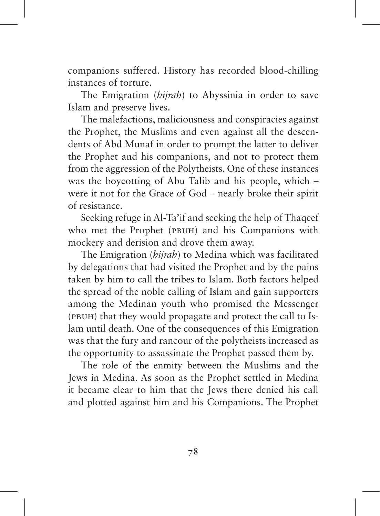companions suffered. History has recorded blood-chilling instances of torture.

The Emigration (*hijrah*) to Abyssinia in order to save Islam and preserve lives.

The malefactions, maliciousness and conspiracies against the Prophet, the Muslims and even against all the descendents of Abd Munaf in order to prompt the latter to deliver the Prophet and his companions, and not to protect them from the aggression of the Polytheists. One of these instances was the boycotting of Abu Talib and his people, which – were it not for the Grace of God – nearly broke their spirit of resistance.

Seeking refuge in Al-Ta'if and seeking the help of Thaqeef who met the Prophet (PBUH) and his Companions with mockery and derision and drove them away.

The Emigration (*hijrah*) to Medina which was facilitated by delegations that had visited the Prophet and by the pains taken by him to call the tribes to Islam. Both factors helped the spread of the noble calling of Islam and gain supporters among the Medinan youth who promised the Messenger (PBUH) that they would propagate and protect the call to Islam until death. One of the consequences of this Emigration was that the fury and rancour of the polytheists increased as the opportunity to assassinate the Prophet passed them by.

The role of the enmity between the Muslims and the Jews in Medina. As soon as the Prophet settled in Medina it became clear to him that the Jews there denied his call and plotted against him and his Companions. The Prophet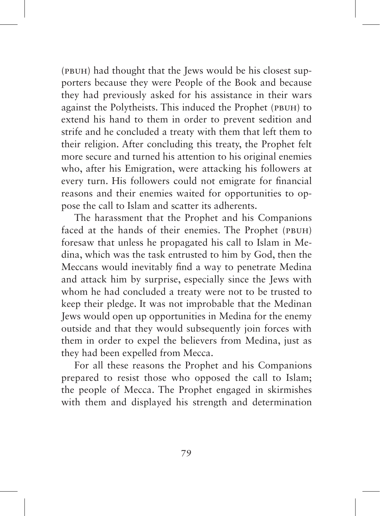(PBUH) had thought that the Jews would be his closest supporters because they were People of the Book and because they had previously asked for his assistance in their wars against the Polytheists. This induced the Prophet (PBUH) to extend his hand to them in order to prevent sedition and strife and he concluded a treaty with them that left them to their religion. After concluding this treaty, the Prophet felt more secure and turned his attention to his original enemies who, after his Emigration, were attacking his followers at every turn. His followers could not emigrate for financial reasons and their enemies waited for opportunities to oppose the call to Islam and scatter its adherents.

The harassment that the Prophet and his Companions faced at the hands of their enemies. The Prophet (PBUH) foresaw that unless he propagated his call to Islam in Medina, which was the task entrusted to him by God, then the Meccans would inevitably find a way to penetrate Medina and attack him by surprise, especially since the Jews with whom he had concluded a treaty were not to be trusted to keep their pledge. It was not improbable that the Medinan Jews would open up opportunities in Medina for the enemy outside and that they would subsequently join forces with them in order to expel the believers from Medina, just as they had been expelled from Mecca.

For all these reasons the Prophet and his Companions prepared to resist those who opposed the call to Islam; the people of Mecca. The Prophet engaged in skirmishes with them and displayed his strength and determination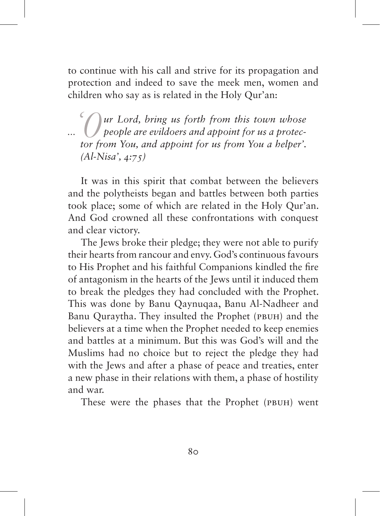to continue with his call and strive for its propagation and protection and indeed to save the meek men, women and children who say as is related in the Holy Qur'an:

*'Our Lord, bring us forth from this town whose*  ... *I people are evildoers and appoint for us a protector from You, and appoint for us from You a helper'. (Al-Nisa', 4:75)*

It was in this spirit that combat between the believers and the polytheists began and battles between both parties took place; some of which are related in the Holy Qur'an. And God crowned all these confrontations with conquest and clear victory.

The Jews broke their pledge; they were not able to purify their hearts from rancour and envy. God's continuous favours to His Prophet and his faithful Companions kindled the fire of antagonism in the hearts of the Jews until it induced them to break the pledges they had concluded with the Prophet. This was done by Banu Qaynuqaa, Banu Al-Nadheer and Banu Quraytha. They insulted the Prophet (PBUH) and the believers at a time when the Prophet needed to keep enemies and battles at a minimum. But this was God's will and the Muslims had no choice but to reject the pledge they had with the Jews and after a phase of peace and treaties, enter a new phase in their relations with them, a phase of hostility and war.

These were the phases that the Prophet (PBUH) went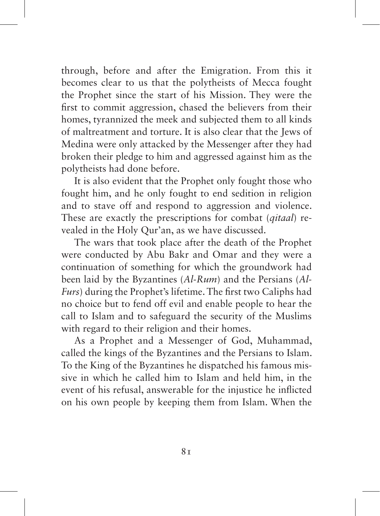through, before and after the Emigration. From this it becomes clear to us that the polytheists of Mecca fought the Prophet since the start of his Mission. They were the first to commit aggression, chased the believers from their homes, tyrannized the meek and subjected them to all kinds of maltreatment and torture. It is also clear that the Jews of Medina were only attacked by the Messenger after they had broken their pledge to him and aggressed against him as the polytheists had done before.

It is also evident that the Prophet only fought those who fought him, and he only fought to end sedition in religion and to stave off and respond to aggression and violence. These are exactly the prescriptions for combat (*qitaal*) revealed in the Holy Qur'an, as we have discussed.

The wars that took place after the death of the Prophet were conducted by Abu Bakr and Omar and they were a continuation of something for which the groundwork had been laid by the Byzantines (*Al-Rum*) and the Persians (*Al-Furs*) during the Prophet's lifetime. The first two Caliphs had no choice but to fend off evil and enable people to hear the call to Islam and to safeguard the security of the Muslims with regard to their religion and their homes.

As a Prophet and a Messenger of God, Muhammad, called the kings of the Byzantines and the Persians to Islam. To the King of the Byzantines he dispatched his famous missive in which he called him to Islam and held him, in the event of his refusal, answerable for the injustice he inflicted on his own people by keeping them from Islam. When the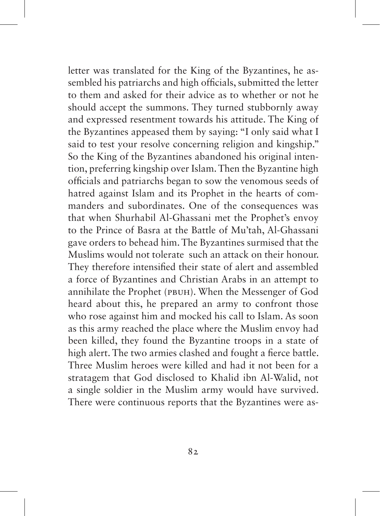letter was translated for the King of the Byzantines, he assembled his patriarchs and high officials, submitted the letter to them and asked for their advice as to whether or not he should accept the summons. They turned stubbornly away and expressed resentment towards his attitude. The King of the Byzantines appeased them by saying: "I only said what I said to test your resolve concerning religion and kingship." So the King of the Byzantines abandoned his original intention, preferring kingship over Islam. Then the Byzantine high officials and patriarchs began to sow the venomous seeds of hatred against Islam and its Prophet in the hearts of commanders and subordinates. One of the consequences was that when Shurhabil Al-Ghassani met the Prophet's envoy to the Prince of Basra at the Battle of Mu'tah, Al-Ghassani gave orders to behead him. The Byzantines surmised that the Muslims would not tolerate such an attack on their honour. They therefore intensified their state of alert and assembled a force of Byzantines and Christian Arabs in an attempt to annihilate the Prophet (pbuh). When the Messenger of God heard about this, he prepared an army to confront those who rose against him and mocked his call to Islam. As soon as this army reached the place where the Muslim envoy had been killed, they found the Byzantine troops in a state of high alert. The two armies clashed and fought a fierce battle. Three Muslim heroes were killed and had it not been for a stratagem that God disclosed to Khalid ibn Al-Walid, not a single soldier in the Muslim army would have survived. There were continuous reports that the Byzantines were as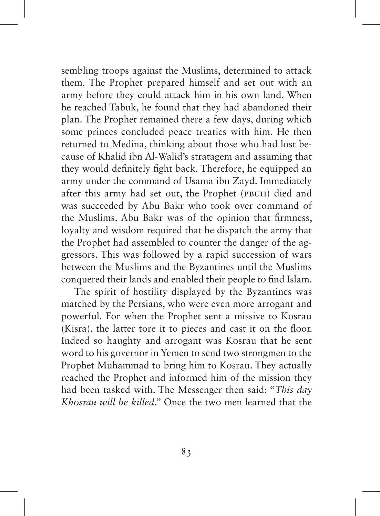sembling troops against the Muslims, determined to attack them. The Prophet prepared himself and set out with an army before they could attack him in his own land. When he reached Tabuk, he found that they had abandoned their plan. The Prophet remained there a few days, during which some princes concluded peace treaties with him. He then returned to Medina, thinking about those who had lost because of Khalid ibn Al-Walid's stratagem and assuming that they would definitely fight back. Therefore, he equipped an army under the command of Usama ibn Zayd. Immediately after this army had set out, the Prophet (PBUH) died and was succeeded by Abu Bakr who took over command of the Muslims. Abu Bakr was of the opinion that firmness, loyalty and wisdom required that he dispatch the army that the Prophet had assembled to counter the danger of the aggressors. This was followed by a rapid succession of wars between the Muslims and the Byzantines until the Muslims conquered their lands and enabled their people to find Islam.

The spirit of hostility displayed by the Byzantines was matched by the Persians, who were even more arrogant and powerful. For when the Prophet sent a missive to Kosrau (Kisra), the latter tore it to pieces and cast it on the floor. Indeed so haughty and arrogant was Kosrau that he sent word to his governor in Yemen to send two strongmen to the Prophet Muhammad to bring him to Kosrau. They actually reached the Prophet and informed him of the mission they had been tasked with. The Messenger then said: "*This day Khosrau will be killed*." Once the two men learned that the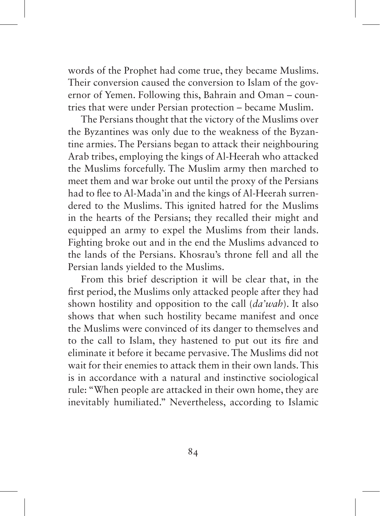words of the Prophet had come true, they became Muslims. Their conversion caused the conversion to Islam of the governor of Yemen. Following this, Bahrain and Oman – countries that were under Persian protection – became Muslim.

The Persians thought that the victory of the Muslims over the Byzantines was only due to the weakness of the Byzantine armies. The Persians began to attack their neighbouring Arab tribes, employing the kings of Al-Heerah who attacked the Muslims forcefully. The Muslim army then marched to meet them and war broke out until the proxy of the Persians had to flee to Al-Mada'in and the kings of Al-Heerah surrendered to the Muslims. This ignited hatred for the Muslims in the hearts of the Persians; they recalled their might and equipped an army to expel the Muslims from their lands. Fighting broke out and in the end the Muslims advanced to the lands of the Persians. Khosrau's throne fell and all the Persian lands yielded to the Muslims.

From this brief description it will be clear that, in the first period, the Muslims only attacked people after they had shown hostility and opposition to the call (*da'wah*). It also shows that when such hostility became manifest and once the Muslims were convinced of its danger to themselves and to the call to Islam, they hastened to put out its fire and eliminate it before it became pervasive. The Muslims did not wait for their enemies to attack them in their own lands. This is in accordance with a natural and instinctive sociological rule: "When people are attacked in their own home, they are inevitably humiliated." Nevertheless, according to Islamic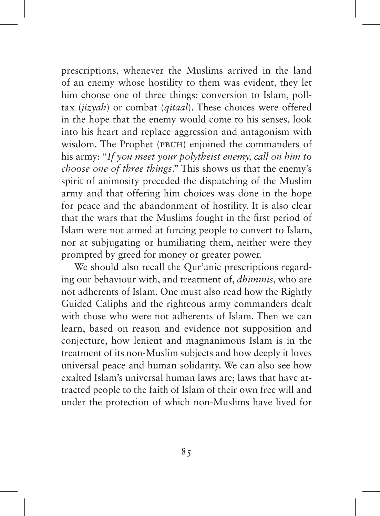prescriptions, whenever the Muslims arrived in the land of an enemy whose hostility to them was evident, they let him choose one of three things: conversion to Islam, polltax (*jizyah*) or combat (*qitaal*). These choices were offered in the hope that the enemy would come to his senses, look into his heart and replace aggression and antagonism with wisdom. The Prophet (PBUH) enjoined the commanders of his army: "*If you meet your polytheist enemy, call on him to choose one of three things*." This shows us that the enemy's spirit of animosity preceded the dispatching of the Muslim army and that offering him choices was done in the hope for peace and the abandonment of hostility. It is also clear that the wars that the Muslims fought in the first period of Islam were not aimed at forcing people to convert to Islam, nor at subjugating or humiliating them, neither were they prompted by greed for money or greater power.

We should also recall the Qur'anic prescriptions regarding our behaviour with, and treatment of, *dhimmis*, who are not adherents of Islam. One must also read how the Rightly Guided Caliphs and the righteous army commanders dealt with those who were not adherents of Islam. Then we can learn, based on reason and evidence not supposition and conjecture, how lenient and magnanimous Islam is in the treatment of its non-Muslim subjects and how deeply it loves universal peace and human solidarity. We can also see how exalted Islam's universal human laws are; laws that have attracted people to the faith of Islam of their own free will and under the protection of which non-Muslims have lived for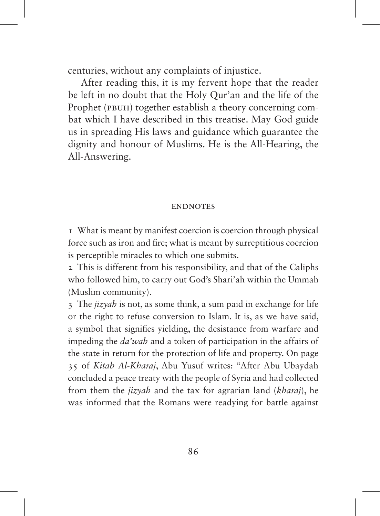centuries, without any complaints of injustice.

After reading this, it is my fervent hope that the reader be left in no doubt that the Holy Qur'an and the life of the Prophet (PBUH) together establish a theory concerning combat which I have described in this treatise. May God guide us in spreading His laws and guidance which guarantee the dignity and honour of Muslims. He is the All-Hearing, the All-Answering.

## **ENDNOTES**

1 What is meant by manifest coercion is coercion through physical force such as iron and fire; what is meant by surreptitious coercion is perceptible miracles to which one submits.

2 This is different from his responsibility, and that of the Caliphs who followed him, to carry out God's Shari'ah within the Ummah (Muslim community).

3 The *jizyah* is not, as some think, a sum paid in exchange for life or the right to refuse conversion to Islam. It is, as we have said, a symbol that signifies yielding, the desistance from warfare and impeding the *da'wah* and a token of participation in the affairs of the state in return for the protection of life and property. On page 35 of *Kitab Al-Kharaj*, Abu Yusuf writes: "After Abu Ubaydah concluded a peace treaty with the people of Syria and had collected from them the *jizyah* and the tax for agrarian land (*kharaj*), he was informed that the Romans were readying for battle against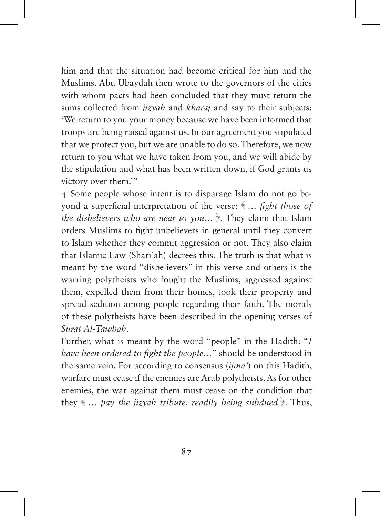him and that the situation had become critical for him and the Muslims. Abu Ubaydah then wrote to the governors of the cities with whom pacts had been concluded that they must return the sums collected from *jizyah* and *kharaj* and say to their subjects: 'We return to you your money because we have been informed that troops are being raised against us. In our agreement you stipulated that we protect you, but we are unable to do so. Therefore, we now return to you what we have taken from you, and we will abide by the stipulation and what has been written down, if God grants us victory over them.'"

4 Some people whose intent is to disparage Islam do not go beyond a superficial interpretation of the verse: ﴾ *… fight those of the disbelievers who are near to you…* ﴿*.* They claim that Islam orders Muslims to fight unbelievers in general until they convert to Islam whether they commit aggression or not. They also claim that Islamic Law (Shari'ah) decrees this. The truth is that what is meant by the word "disbelievers" in this verse and others is the warring polytheists who fought the Muslims, aggressed against them, expelled them from their homes, took their property and spread sedition among people regarding their faith. The morals of these polytheists have been described in the opening verses of *Surat Al-Tawbah*.

Further, what is meant by the word "people" in the Hadith: "*I have been ordered to fight the people…*" should be understood in the same vein. For according to consensus (*ijma'*) on this Hadith, warfare must cease if the enemies are Arab polytheists. As for other enemies, the war against them must cease on the condition that they  $\langle \dots \rangle$  *pay the jizyah tribute, readily being subdued*  $\rangle$ . Thus,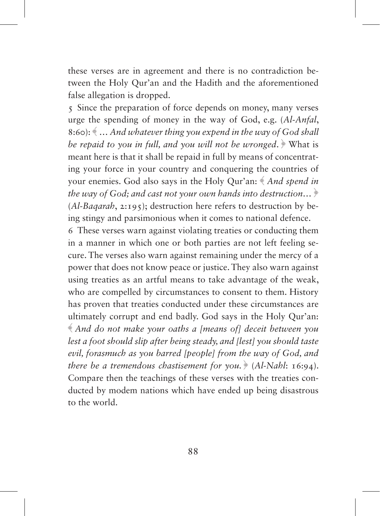these verses are in agreement and there is no contradiction between the Holy Qur'an and the Hadith and the aforementioned false allegation is dropped.

5 Since the preparation of force depends on money, many verses urge the spending of money in the way of God, e.g. (*Al-Anfal*, 8:60): ﴾ *… And whatever thing you expend in the way of God shall be repaid to you in full, and you will not be wronged.* What is meant here is that it shall be repaid in full by means of concentrating your force in your country and conquering the countries of your enemies. God also says in the Holy Qur'an: ﴾ *And spend in the way of God; and cast not your own hands into destruction…* ﴿ (*Al-Baqarah*, 2:195); destruction here refers to destruction by being stingy and parsimonious when it comes to national defence.

6 These verses warn against violating treaties or conducting them in a manner in which one or both parties are not left feeling secure. The verses also warn against remaining under the mercy of a power that does not know peace or justice. They also warn against using treaties as an artful means to take advantage of the weak, who are compelled by circumstances to consent to them. History has proven that treaties conducted under these circumstances are ultimately corrupt and end badly. God says in the Holy Qur'an: ﴾ *And do not make your oaths a [means of] deceit between you lest a foot should slip after being steady, and [lest] you should taste evil, forasmuch as you barred [people] from the way of God, and there be a tremendous chastisement for you.* ﴿ (*Al-Nahl*: 16:94). Compare then the teachings of these verses with the treaties conducted by modem nations which have ended up being disastrous to the world.